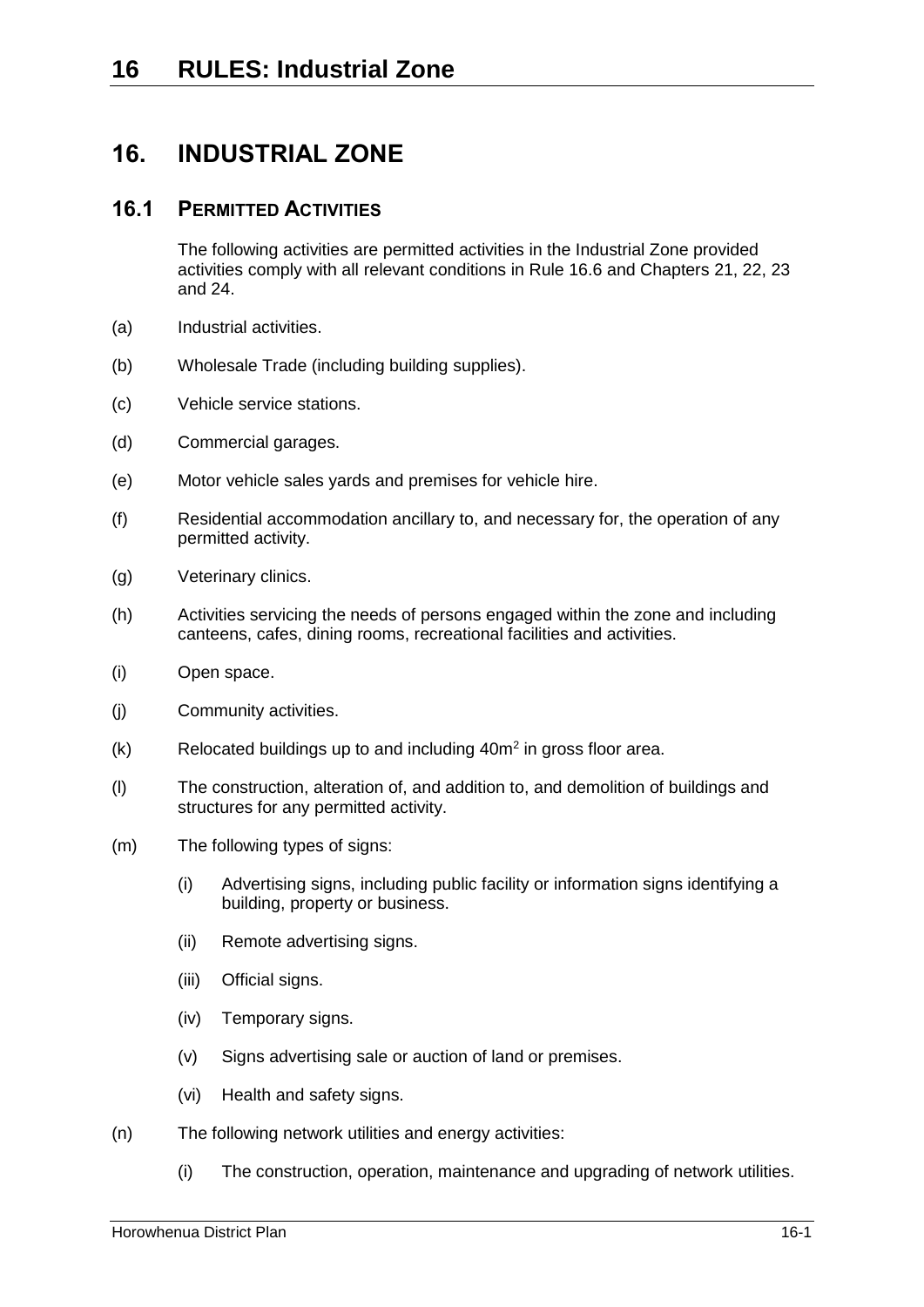# **16. INDUSTRIAL ZONE**

## <span id="page-0-0"></span>**16.1 PERMITTED ACTIVITIES**

The following activities are permitted activities in the Industrial Zone provided activities comply with all relevant conditions in Rule [16.6](#page-5-0) and Chapters 21, 22, 23 and 24.

- (a) Industrial activities.
- (b) Wholesale Trade (including building supplies).
- (c) Vehicle service stations.
- (d) Commercial garages.
- (e) Motor vehicle sales yards and premises for vehicle hire.
- <span id="page-0-1"></span>(f) Residential accommodation ancillary to, and necessary for, the operation of any permitted activity.
- (g) Veterinary clinics.
- (h) Activities servicing the needs of persons engaged within the zone and including canteens, cafes, dining rooms, recreational facilities and activities.
- (i) Open space.
- (j) Community activities.
- $(k)$  Relocated buildings up to and including  $40m^2$  in gross floor area.
- (l) The construction, alteration of, and addition to, and demolition of buildings and structures for any permitted activity.
- (m) The following types of signs:
	- (i) Advertising signs, including public facility or information signs identifying a building, property or business.
	- (ii) Remote advertising signs.
	- (iii) Official signs.
	- (iv) Temporary signs.
	- (v) Signs advertising sale or auction of land or premises.
	- (vi) Health and safety signs.
- <span id="page-0-2"></span>(n) The following network utilities and energy activities:
	- (i) The construction, operation, maintenance and upgrading of network utilities.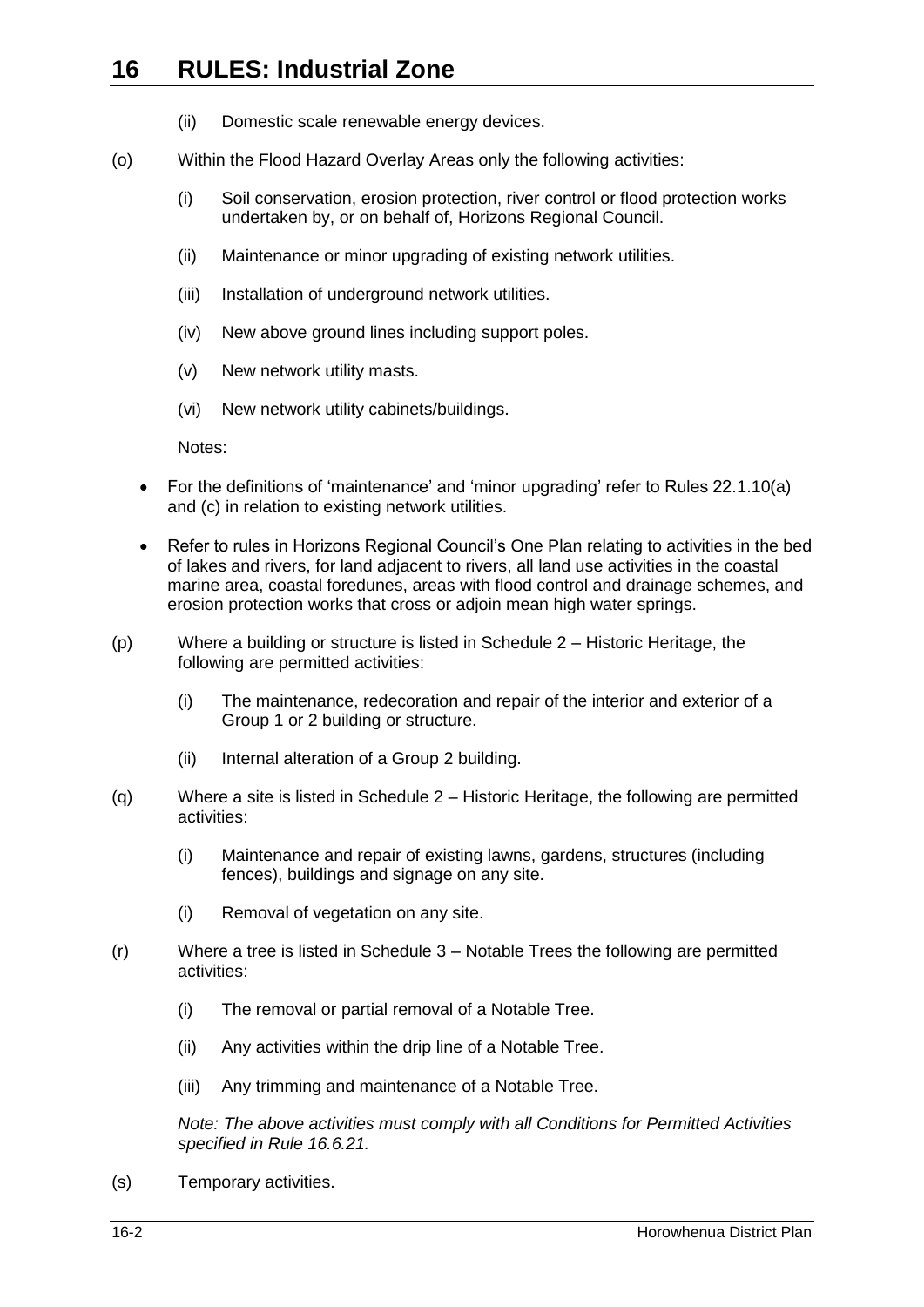- (ii) Domestic scale renewable energy devices.
- (o) Within the Flood Hazard Overlay Areas only the following activities:
	- (i) Soil conservation, erosion protection, river control or flood protection works undertaken by, or on behalf of, Horizons Regional Council.
	- (ii) Maintenance or minor upgrading of existing network utilities.
	- (iii) Installation of underground network utilities.
	- (iv) New above ground lines including support poles.
	- (v) New network utility masts.
	- (vi) New network utility cabinets/buildings.

Notes:

- For the definitions of 'maintenance' and 'minor upgrading' refer to Rules 22.1.10(a) and (c) in relation to existing network utilities.
- Refer to rules in Horizons Regional Council's One Plan relating to activities in the bed of lakes and rivers, for land adjacent to rivers, all land use activities in the coastal marine area, coastal foredunes, areas with flood control and drainage schemes, and erosion protection works that cross or adjoin mean high water springs.
- (p) Where a building or structure is listed in Schedule 2 Historic Heritage, the following are permitted activities:
	- (i) The maintenance, redecoration and repair of the interior and exterior of a Group 1 or 2 building or structure.
	- (ii) Internal alteration of a Group 2 building.
- (q) Where a site is listed in Schedule 2 Historic Heritage, the following are permitted activities:
	- (i) Maintenance and repair of existing lawns, gardens, structures (including fences), buildings and signage on any site.
	- (i) Removal of vegetation on any site.
- (r) Where a tree is listed in Schedule 3 Notable Trees the following are permitted activities:
	- (i) The removal or partial removal of a Notable Tree.
	- (ii) Any activities within the drip line of a Notable Tree.
	- (iii) Any trimming and maintenance of a Notable Tree.

*Note: The above activities must comply with all Conditions for Permitted Activities specified in Rule [16.6.21.](#page-10-0)*

(s) Temporary activities.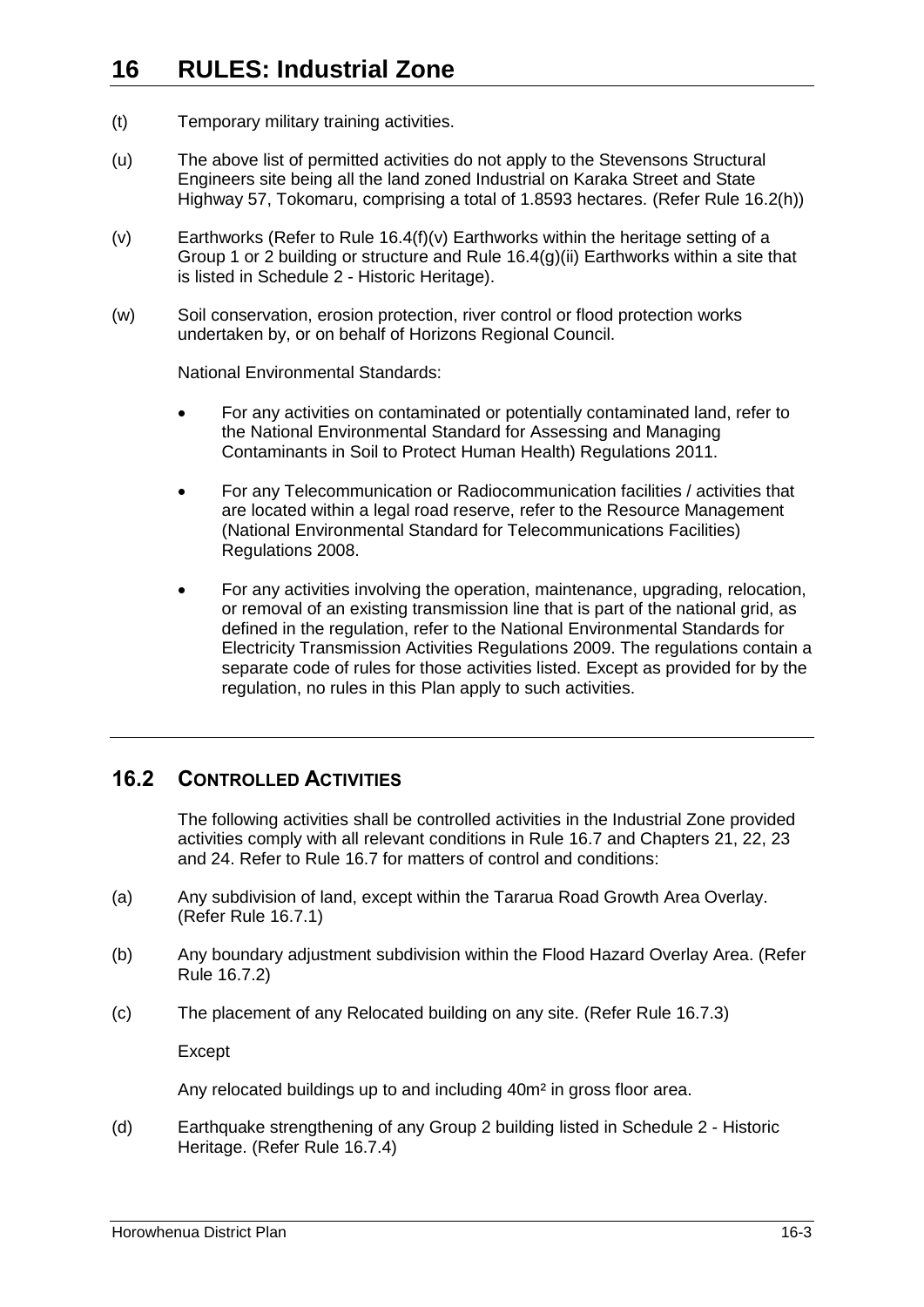- (t) Temporary military training activities.
- (u) The above list of permitted activities do not apply to the Stevensons Structural Engineers site being all the land zoned Industrial on Karaka Street and State Highway 57, Tokomaru, comprising a total of 1.8593 hectares. (Refer Rule [16.2\(h\)\)](#page-3-0)
- (v) Earthworks (Refer to Rule [16.4\(f\)\(v\)](#page-4-0) Earthworks within the heritage setting of a Group 1 or 2 building or structure and Rule [16.4\(g\)\(ii\)](#page-4-1) Earthworks within a site that is listed in Schedule 2 - Historic Heritage).
- (w) Soil conservation, erosion protection, river control or flood protection works undertaken by, or on behalf of Horizons Regional Council.

National Environmental Standards:

- For any activities on contaminated or potentially contaminated land, refer to the National Environmental Standard for Assessing and Managing Contaminants in Soil to Protect Human Health) Regulations 2011.
- For any Telecommunication or Radiocommunication facilities / activities that are located within a legal road reserve, refer to the Resource Management (National Environmental Standard for Telecommunications Facilities) Regulations 2008.
- For any activities involving the operation, maintenance, upgrading, relocation, or removal of an existing transmission line that is part of the national grid, as defined in the regulation, refer to the National Environmental Standards for Electricity Transmission Activities Regulations 2009. The regulations contain a separate code of rules for those activities listed. Except as provided for by the regulation, no rules in this Plan apply to such activities.

## **16.2 CONTROLLED ACTIVITIES**

The following activities shall be controlled activities in the Industrial Zone provided activities comply with all relevant conditions in Rule [16.7](#page-13-0) and Chapters 21, 22, 23 and 24. Refer to Rule [16.7](#page-13-0) for matters of control and conditions:

- <span id="page-2-0"></span>(a) Any subdivision of land, except within the Tararua Road Growth Area Overlay. (Refer Rule [16.7.1\)](#page-13-1)
- <span id="page-2-1"></span>(b) Any boundary adjustment subdivision within the Flood Hazard Overlay Area. (Refer Rule [16.7.2\)](#page-14-0)
- <span id="page-2-2"></span>(c) The placement of any Relocated building on any site. (Refer Rule [16.7.3\)](#page-15-0)

Except

Any relocated buildings up to and including 40m² in gross floor area.

<span id="page-2-3"></span>(d) Earthquake strengthening of any Group 2 building listed in Schedule 2 - Historic Heritage. (Refer Rule [16.7.4\)](#page-16-0)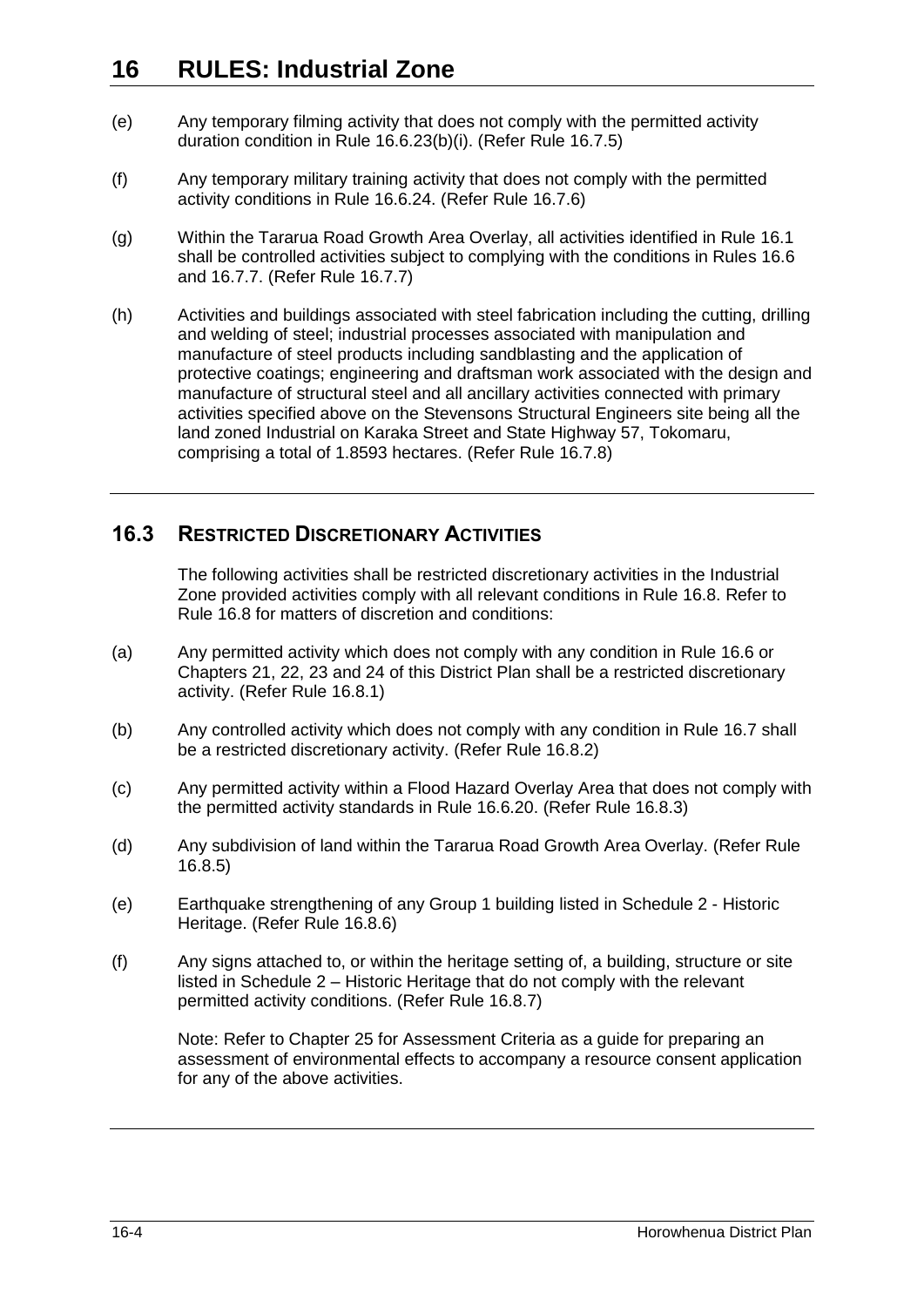- <span id="page-3-1"></span>(e) Any temporary filming activity that does not comply with the permitted activity duration condition in Rule [16.6.23\(b\)\(i\).](#page-11-0) (Refer Rule [16.7.5\)](#page-16-1)
- <span id="page-3-2"></span>(f) Any temporary military training activity that does not comply with the permitted activity conditions in Rule [16.6.24.](#page-11-1) (Refer Rule [16.7.6\)](#page-16-2)
- <span id="page-3-3"></span>(g) Within the Tararua Road Growth Area Overlay, all activities identified in Rule [16.1](#page-0-0) shall be controlled activities subject to complying with the conditions in Rules [16.6](#page-5-0) and [16.7.7.](#page-17-0) (Refer Rule [16.7.7\)](#page-17-0)
- <span id="page-3-0"></span>(h) Activities and buildings associated with steel fabrication including the cutting, drilling and welding of steel; industrial processes associated with manipulation and manufacture of steel products including sandblasting and the application of protective coatings; engineering and draftsman work associated with the design and manufacture of structural steel and all ancillary activities connected with primary activities specified above on the Stevensons Structural Engineers site being all the land zoned Industrial on Karaka Street and State Highway 57, Tokomaru, comprising a total of 1.8593 hectares. (Refer Rule [16.7.8\)](#page-17-1)

## **16.3 RESTRICTED DISCRETIONARY ACTIVITIES**

<span id="page-3-4"></span>The following activities shall be restricted discretionary activities in the Industrial Zone provided activities comply with all relevant conditions in Rule [16.8.](#page-18-0) Refer to Rule [16.8](#page-18-0) for matters of discretion and conditions:

- <span id="page-3-5"></span>(a) Any permitted activity which does not comply with any condition in Rule [16.6](#page-5-0) or Chapters 21, 22, 23 and 24 of this District Plan shall be a restricted discretionary activity. (Refer Rule [16.8.1\)](#page-18-1)
- <span id="page-3-6"></span>(b) Any controlled activity which does not comply with any condition in Rule [16.7](#page-13-0) shall be a restricted discretionary activity. (Refer Rule [16.8.2\)](#page-19-0)
- <span id="page-3-7"></span>(c) Any permitted activity within a Flood Hazard Overlay Area that does not comply with the permitted activity standards in Rule [16.6.20.](#page-9-0) (Refer Rule [16.8.3\)](#page-19-1)
- <span id="page-3-8"></span>(d) Any subdivision of land within the Tararua Road Growth Area Overlay. (Refer Rule [16.8.5\)](#page-20-0)
- <span id="page-3-9"></span>(e) Earthquake strengthening of any Group 1 building listed in Schedule 2 - Historic Heritage. (Refer Rule [16.8.6\)](#page-21-0)
- <span id="page-3-10"></span>(f) Any signs attached to, or within the heritage setting of, a building, structure or site listed in Schedule 2 – Historic Heritage that do not comply with the relevant permitted activity conditions. (Refer Rule [16.8.7\)](#page-21-1)

Note: Refer to Chapter 25 for Assessment Criteria as a guide for preparing an assessment of environmental effects to accompany a resource consent application for any of the above activities.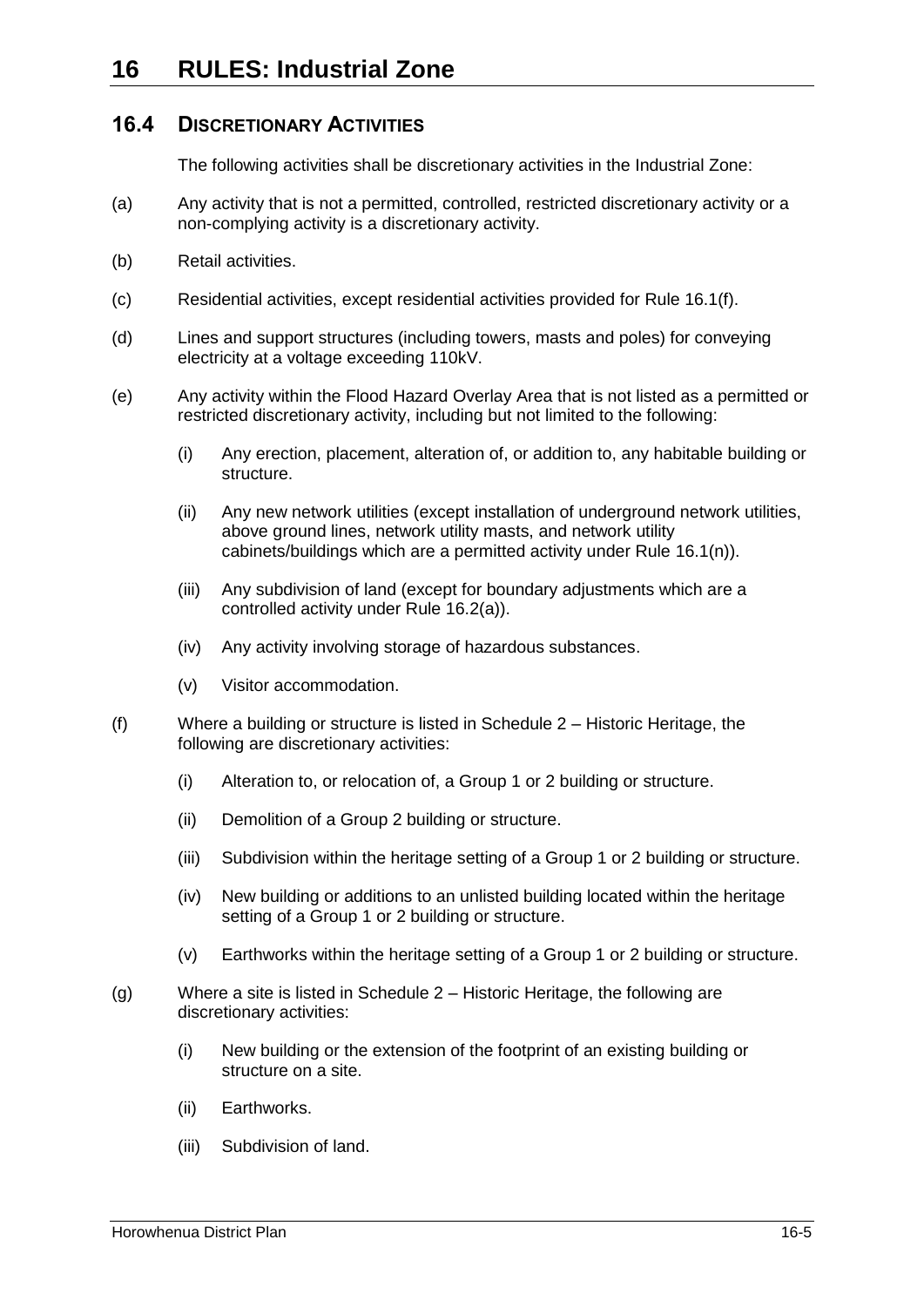## **16.4 DISCRETIONARY ACTIVITIES**

The following activities shall be discretionary activities in the Industrial Zone:

- (a) Any activity that is not a permitted, controlled, restricted discretionary activity or a non-complying activity is a discretionary activity.
- (b) Retail activities.
- (c) Residential activities, except residential activities provided for Rule [16.1\(f\).](#page-0-1)
- (d) Lines and support structures (including towers, masts and poles) for conveying electricity at a voltage exceeding 110kV.
- (e) Any activity within the Flood Hazard Overlay Area that is not listed as a permitted or restricted discretionary activity, including but not limited to the following:
	- (i) Any erection, placement, alteration of, or addition to, any habitable building or structure.
	- (ii) Any new network utilities (except installation of underground network utilities, above ground lines, network utility masts, and network utility cabinets/buildings which are a permitted activity under Rule [16.1\(n\)\)](#page-0-2).
	- (iii) Any subdivision of land (except for boundary adjustments which are a controlled activity under Rule [16.2\(a\)\)](#page-2-0).
	- (iv) Any activity involving storage of hazardous substances.
	- (v) Visitor accommodation.
- (f) Where a building or structure is listed in Schedule 2 Historic Heritage, the following are discretionary activities:
	- (i) Alteration to, or relocation of, a Group 1 or 2 building or structure.
	- (ii) Demolition of a Group 2 building or structure.
	- (iii) Subdivision within the heritage setting of a Group 1 or 2 building or structure.
	- (iv) New building or additions to an unlisted building located within the heritage setting of a Group 1 or 2 building or structure.
	- (v) Earthworks within the heritage setting of a Group 1 or 2 building or structure.
- <span id="page-4-1"></span><span id="page-4-0"></span>(g) Where a site is listed in Schedule 2 – Historic Heritage, the following are discretionary activities:
	- (i) New building or the extension of the footprint of an existing building or structure on a site.
	- (ii) Earthworks.
	- (iii) Subdivision of land.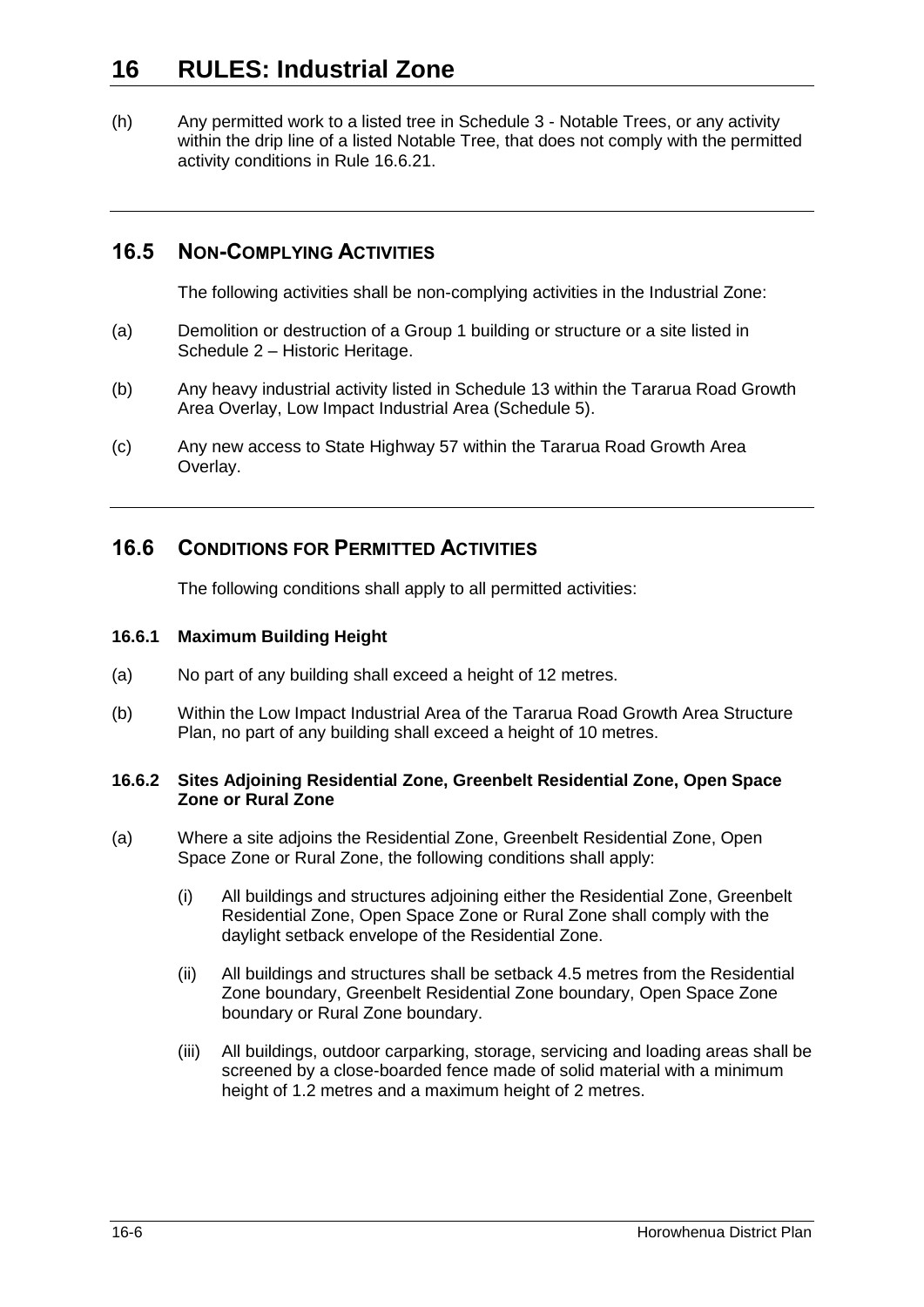(h) Any permitted work to a listed tree in Schedule 3 - Notable Trees, or any activity within the drip line of a listed Notable Tree, that does not comply with the permitted activity conditions in Rule [16.6.21.](#page-10-0)

# **16.5 NON-COMPLYING ACTIVITIES**

The following activities shall be non-complying activities in the Industrial Zone:

- (a) Demolition or destruction of a Group 1 building or structure or a site listed in Schedule 2 – Historic Heritage.
- (b) Any heavy industrial activity listed in Schedule 13 within the Tararua Road Growth Area Overlay, Low Impact Industrial Area (Schedule 5).
- (c) Any new access to State Highway 57 within the Tararua Road Growth Area Overlay.

## <span id="page-5-0"></span>**16.6 CONDITIONS FOR PERMITTED ACTIVITIES**

The following conditions shall apply to all permitted activities:

### <span id="page-5-1"></span>**16.6.1 Maximum Building Height**

- (a) No part of any building shall exceed a height of 12 metres.
- (b) Within the Low Impact Industrial Area of the Tararua Road Growth Area Structure Plan, no part of any building shall exceed a height of 10 metres.

### **16.6.2 Sites Adjoining Residential Zone, Greenbelt Residential Zone, Open Space Zone or Rural Zone**

- <span id="page-5-2"></span>(a) Where a site adjoins the Residential Zone, Greenbelt Residential Zone, Open Space Zone or Rural Zone, the following conditions shall apply:
	- (i) All buildings and structures adjoining either the Residential Zone, Greenbelt Residential Zone, Open Space Zone or Rural Zone shall comply with the daylight setback envelope of the Residential Zone.
	- (ii) All buildings and structures shall be setback 4.5 metres from the Residential Zone boundary, Greenbelt Residential Zone boundary, Open Space Zone boundary or Rural Zone boundary.
	- (iii) All buildings, outdoor carparking, storage, servicing and loading areas shall be screened by a close-boarded fence made of solid material with a minimum height of 1.2 metres and a maximum height of 2 metres.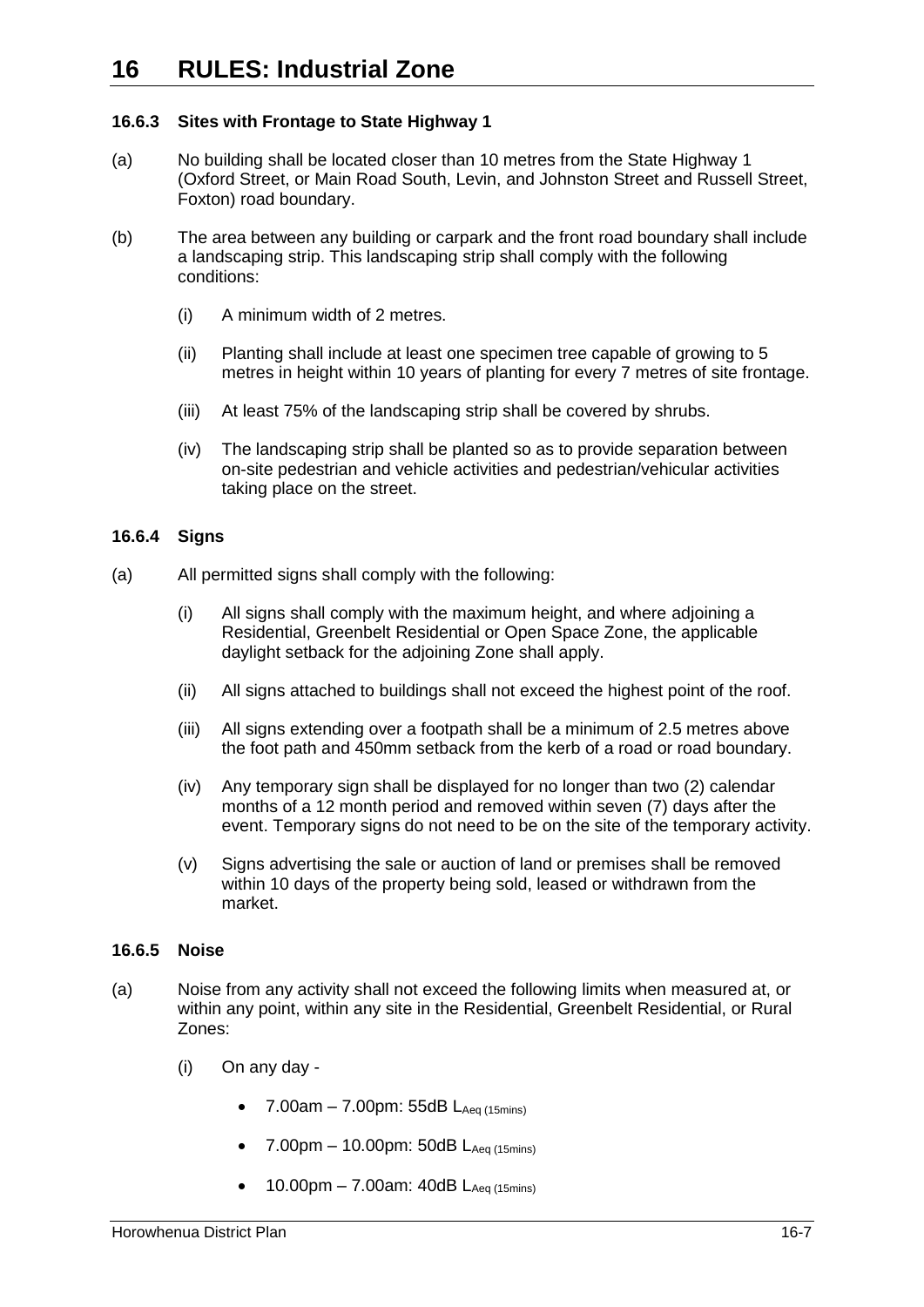### **16.6.3 Sites with Frontage to State Highway 1**

- (a) No building shall be located closer than 10 metres from the State Highway 1 (Oxford Street, or Main Road South, Levin, and Johnston Street and Russell Street, Foxton) road boundary.
- (b) The area between any building or carpark and the front road boundary shall include a landscaping strip. This landscaping strip shall comply with the following conditions:
	- (i) A minimum width of 2 metres.
	- (ii) Planting shall include at least one specimen tree capable of growing to 5 metres in height within 10 years of planting for every 7 metres of site frontage.
	- (iii) At least 75% of the landscaping strip shall be covered by shrubs.
	- (iv) The landscaping strip shall be planted so as to provide separation between on-site pedestrian and vehicle activities and pedestrian/vehicular activities taking place on the street.

### **16.6.4 Signs**

- (a) All permitted signs shall comply with the following:
	- (i) All signs shall comply with the maximum height, and where adjoining a Residential, Greenbelt Residential or Open Space Zone, the applicable daylight setback for the adjoining Zone shall apply.
	- (ii) All signs attached to buildings shall not exceed the highest point of the roof.
	- (iii) All signs extending over a footpath shall be a minimum of 2.5 metres above the foot path and 450mm setback from the kerb of a road or road boundary.
	- (iv) Any temporary sign shall be displayed for no longer than two (2) calendar months of a 12 month period and removed within seven (7) days after the event. Temporary signs do not need to be on the site of the temporary activity.
	- (v) Signs advertising the sale or auction of land or premises shall be removed within 10 days of the property being sold, leased or withdrawn from the market.

### <span id="page-6-1"></span>**16.6.5 Noise**

- <span id="page-6-0"></span>(a) Noise from any activity shall not exceed the following limits when measured at, or within any point, within any site in the Residential, Greenbelt Residential, or Rural Zones:
	- (i) On any day
		- 7.00am 7.00pm: 55dB  $L_{Aeq (15 mins)}$
		- $7.00 \text{pm} 10.00 \text{pm}$ : 50dB  $L_{\text{Aea (15 mins)}}$
		- 10.00pm 7.00am: 40dB  $L_{Aea(15min)}$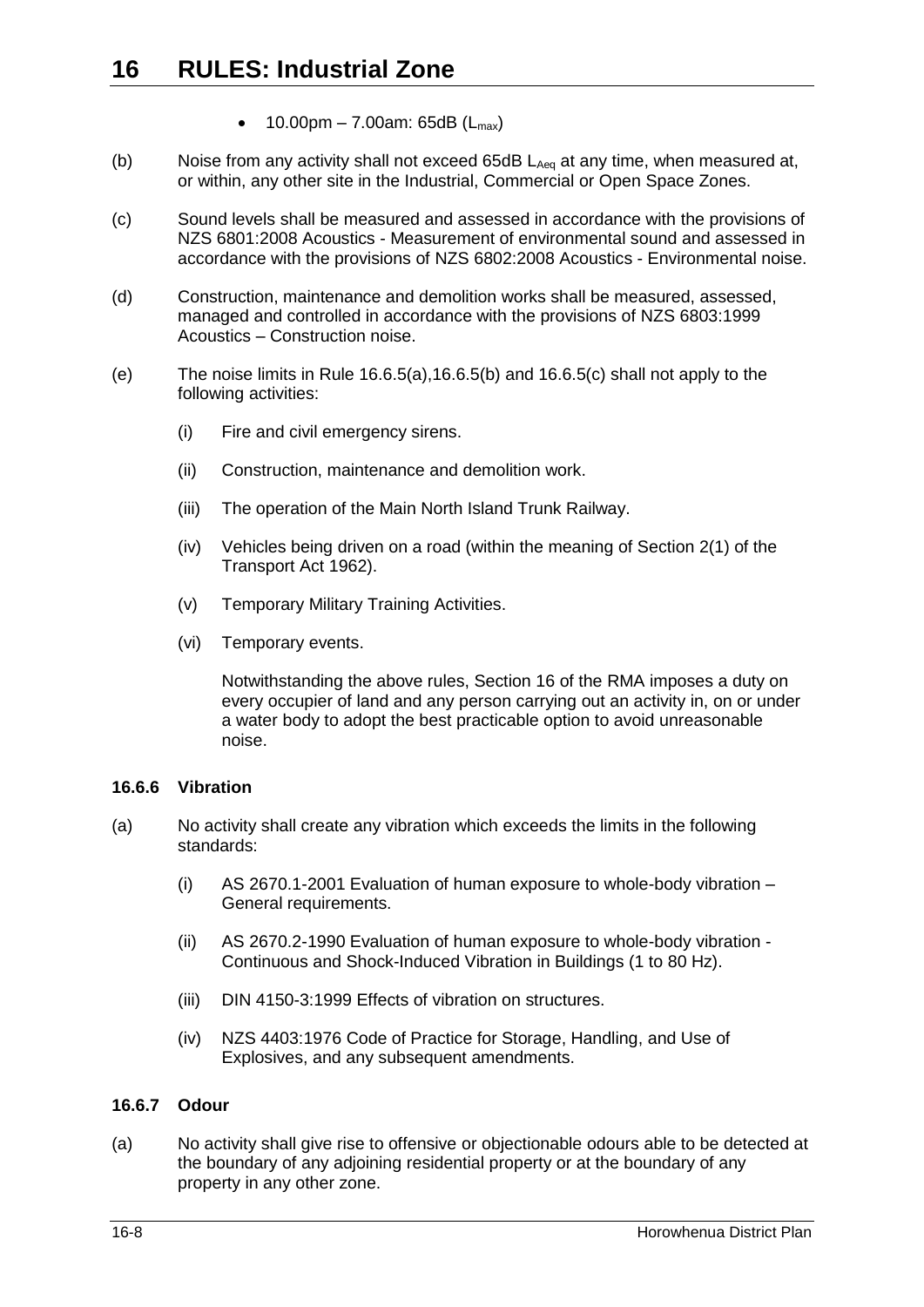- 10.00pm 7.00am: 65dB  $(L_{max})$
- <span id="page-7-0"></span>(b) Noise from any activity shall not exceed  $65dB$   $L_{Aeq}$  at any time, when measured at, or within, any other site in the Industrial, Commercial or Open Space Zones.
- <span id="page-7-1"></span>(c) Sound levels shall be measured and assessed in accordance with the provisions of NZS 6801:2008 Acoustics - Measurement of environmental sound and assessed in accordance with the provisions of NZS 6802:2008 Acoustics - Environmental noise.
- (d) Construction, maintenance and demolition works shall be measured, assessed, managed and controlled in accordance with the provisions of NZS 6803:1999 Acoustics – Construction noise.
- (e) The noise limits in Rule [16.6.5\(a\),](#page-6-0)[16.6.5\(b\)](#page-7-0) and [16.6.5\(c\)](#page-7-1) shall not apply to the following activities:
	- (i) Fire and civil emergency sirens.
	- (ii) Construction, maintenance and demolition work.
	- (iii) The operation of the Main North Island Trunk Railway.
	- (iv) Vehicles being driven on a road (within the meaning of Section 2(1) of the Transport Act 1962).
	- (v) Temporary Military Training Activities.
	- (vi) Temporary events.

Notwithstanding the above rules, Section 16 of the RMA imposes a duty on every occupier of land and any person carrying out an activity in, on or under a water body to adopt the best practicable option to avoid unreasonable noise.

#### **16.6.6 Vibration**

- (a) No activity shall create any vibration which exceeds the limits in the following standards:
	- (i) AS 2670.1-2001 Evaluation of human exposure to whole-body vibration General requirements.
	- (ii) AS 2670.2-1990 Evaluation of human exposure to whole-body vibration Continuous and Shock-Induced Vibration in Buildings (1 to 80 Hz).
	- (iii) DIN 4150-3:1999 Effects of vibration on structures.
	- (iv) NZS 4403:1976 Code of Practice for Storage, Handling, and Use of Explosives, and any subsequent amendments.

#### **16.6.7 Odour**

(a) No activity shall give rise to offensive or objectionable odours able to be detected at the boundary of any adjoining residential property or at the boundary of any property in any other zone.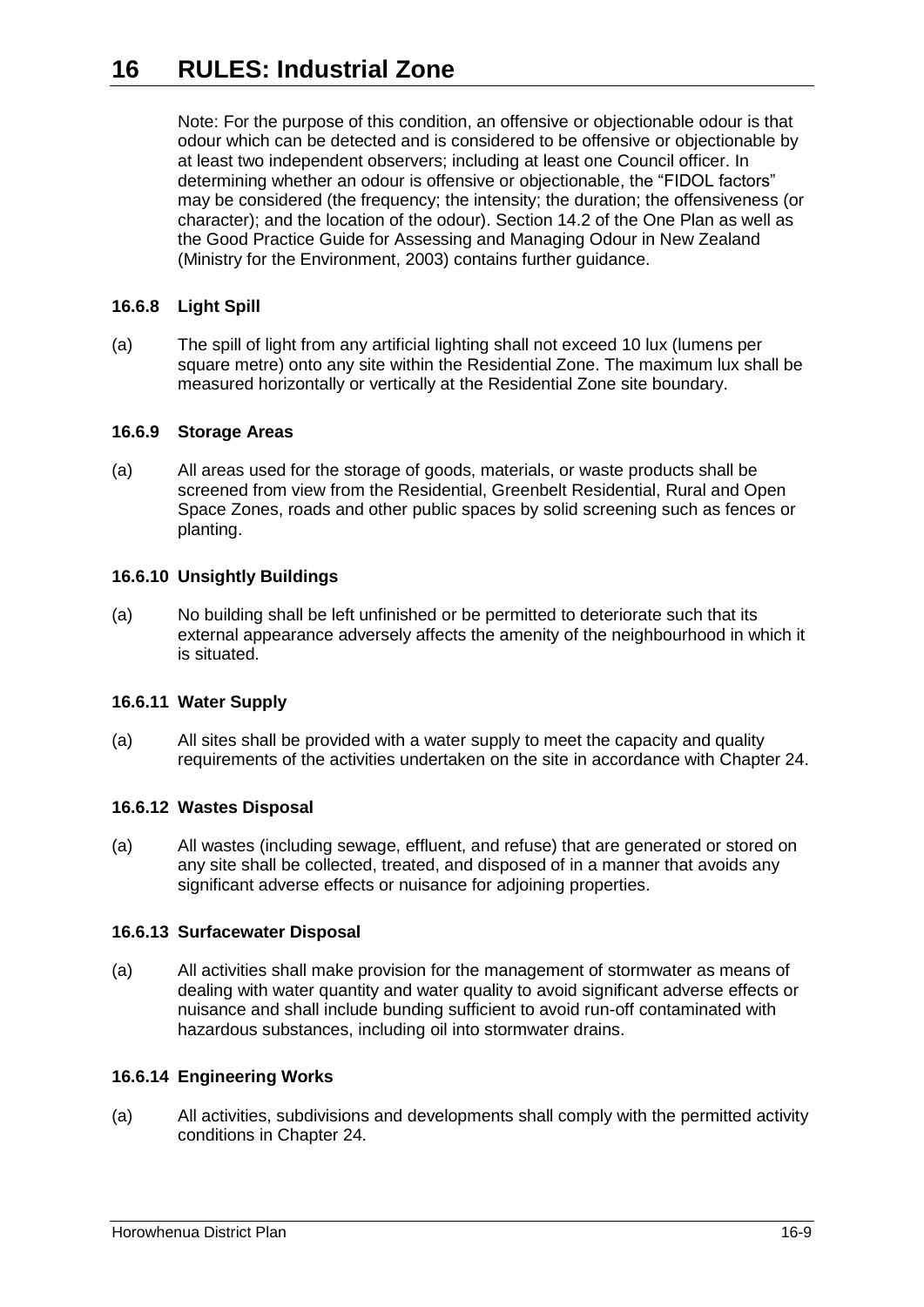Note: For the purpose of this condition, an offensive or objectionable odour is that odour which can be detected and is considered to be offensive or objectionable by at least two independent observers; including at least one Council officer. In determining whether an odour is offensive or objectionable, the "FIDOL factors" may be considered (the frequency; the intensity; the duration; the offensiveness (or character); and the location of the odour). Section 14.2 of the One Plan as well as the Good Practice Guide for Assessing and Managing Odour in New Zealand (Ministry for the Environment, 2003) contains further guidance.

### **16.6.8 Light Spill**

(a) The spill of light from any artificial lighting shall not exceed 10 lux (lumens per square metre) onto any site within the Residential Zone. The maximum lux shall be measured horizontally or vertically at the Residential Zone site boundary.

### **16.6.9 Storage Areas**

(a) All areas used for the storage of goods, materials, or waste products shall be screened from view from the Residential, Greenbelt Residential, Rural and Open Space Zones, roads and other public spaces by solid screening such as fences or planting.

### **16.6.10 Unsightly Buildings**

(a) No building shall be left unfinished or be permitted to deteriorate such that its external appearance adversely affects the amenity of the neighbourhood in which it is situated.

### **16.6.11 Water Supply**

(a) All sites shall be provided with a water supply to meet the capacity and quality requirements of the activities undertaken on the site in accordance with Chapter 24.

### **16.6.12 Wastes Disposal**

(a) All wastes (including sewage, effluent, and refuse) that are generated or stored on any site shall be collected, treated, and disposed of in a manner that avoids any significant adverse effects or nuisance for adjoining properties.

#### **16.6.13 Surfacewater Disposal**

(a) All activities shall make provision for the management of stormwater as means of dealing with water quantity and water quality to avoid significant adverse effects or nuisance and shall include bunding sufficient to avoid run-off contaminated with hazardous substances, including oil into stormwater drains.

### **16.6.14 Engineering Works**

(a) All activities, subdivisions and developments shall comply with the permitted activity conditions in Chapter 24.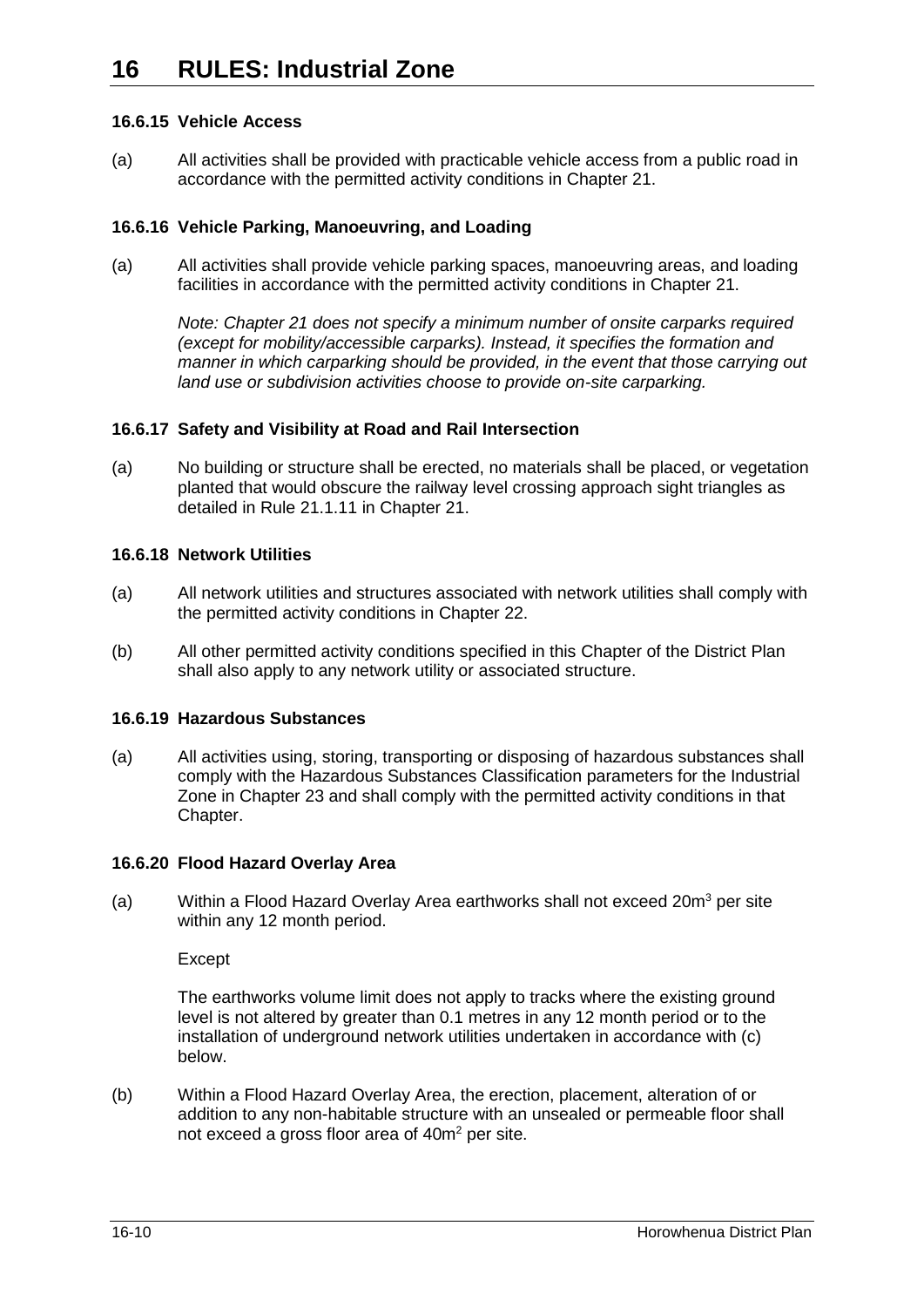### **16.6.15 Vehicle Access**

(a) All activities shall be provided with practicable vehicle access from a public road in accordance with the permitted activity conditions in Chapter 21.

### **16.6.16 Vehicle Parking, Manoeuvring, and Loading**

(a) All activities shall provide vehicle parking spaces, manoeuvring areas, and loading facilities in accordance with the permitted activity conditions in Chapter 21.

*Note: Chapter 21 does not specify a minimum number of onsite carparks required (except for mobility/accessible carparks). Instead, it specifies the formation and manner in which carparking should be provided, in the event that those carrying out land use or subdivision activities choose to provide on-site carparking.* 

### **16.6.17 Safety and Visibility at Road and Rail Intersection**

(a) No building or structure shall be erected, no materials shall be placed, or vegetation planted that would obscure the railway level crossing approach sight triangles as detailed in Rule 21.1.11 in Chapter 21.

### **16.6.18 Network Utilities**

- (a) All network utilities and structures associated with network utilities shall comply with the permitted activity conditions in Chapter 22.
- (b) All other permitted activity conditions specified in this Chapter of the District Plan shall also apply to any network utility or associated structure.

### **16.6.19 Hazardous Substances**

(a) All activities using, storing, transporting or disposing of hazardous substances shall comply with the Hazardous Substances Classification parameters for the Industrial Zone in Chapter 23 and shall comply with the permitted activity conditions in that Chapter.

### <span id="page-9-0"></span>**16.6.20 Flood Hazard Overlay Area**

(a) Within a Flood Hazard Overlay Area earthworks shall not exceed 20 $\text{m}^3$  per site within any 12 month period.

Except

The earthworks volume limit does not apply to tracks where the existing ground level is not altered by greater than 0.1 metres in any 12 month period or to the installation of underground network utilities undertaken in accordance with (c) below.

(b) Within a Flood Hazard Overlay Area, the erection, placement, alteration of or addition to any non-habitable structure with an unsealed or permeable floor shall not exceed a gross floor area of 40m<sup>2</sup> per site.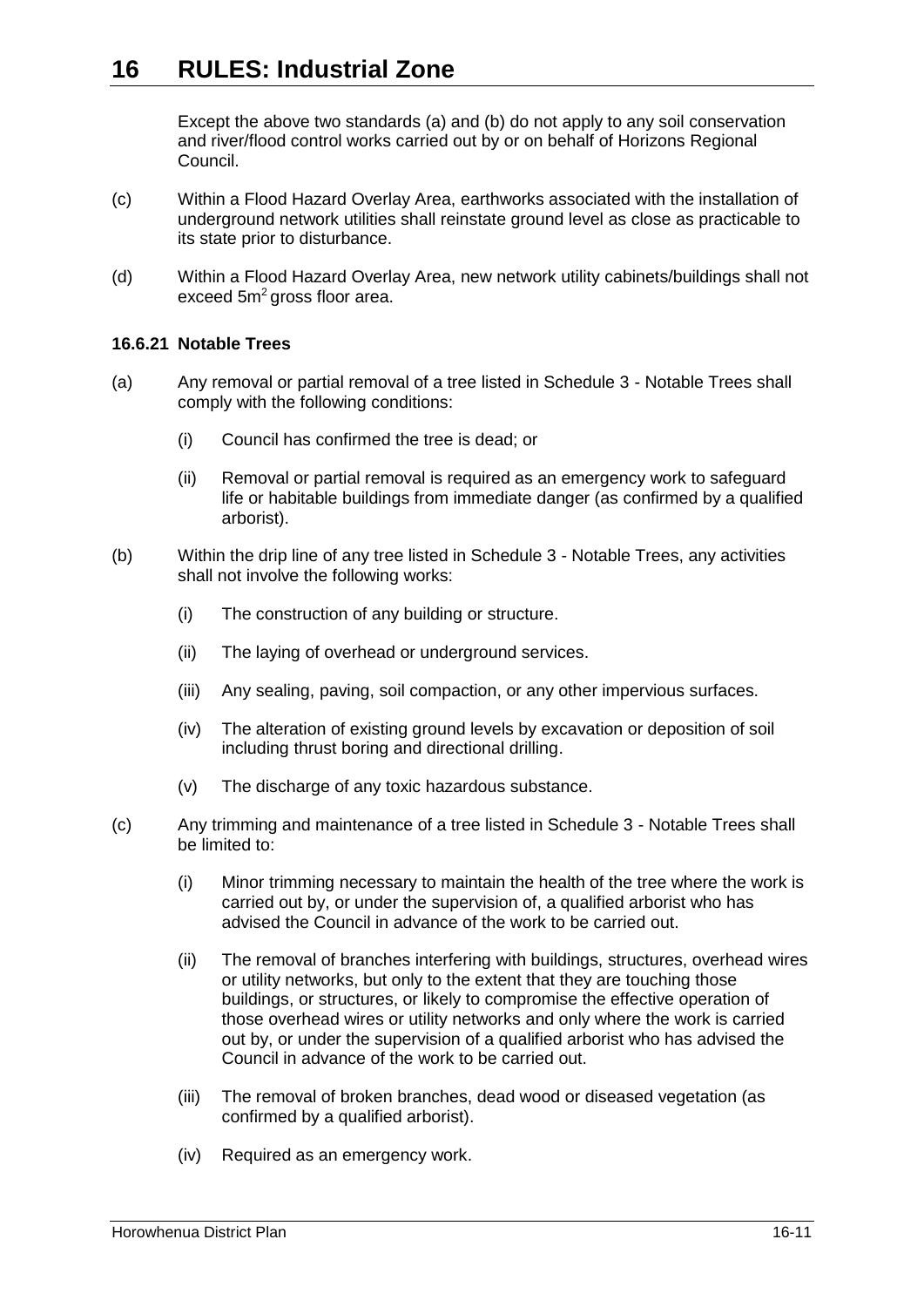Except the above two standards (a) and (b) do not apply to any soil conservation and river/flood control works carried out by or on behalf of Horizons Regional Council.

- (c) Within a Flood Hazard Overlay Area, earthworks associated with the installation of underground network utilities shall reinstate ground level as close as practicable to its state prior to disturbance.
- (d) Within a Flood Hazard Overlay Area, new network utility cabinets/buildings shall not exceed 5m<sup>2</sup> gross floor area.

### <span id="page-10-0"></span>**16.6.21 Notable Trees**

- (a) Any removal or partial removal of a tree listed in Schedule 3 Notable Trees shall comply with the following conditions:
	- (i) Council has confirmed the tree is dead; or
	- (ii) Removal or partial removal is required as an emergency work to safeguard life or habitable buildings from immediate danger (as confirmed by a qualified arborist).
- (b) Within the drip line of any tree listed in Schedule 3 Notable Trees, any activities shall not involve the following works:
	- (i) The construction of any building or structure.
	- (ii) The laying of overhead or underground services.
	- (iii) Any sealing, paving, soil compaction, or any other impervious surfaces.
	- (iv) The alteration of existing ground levels by excavation or deposition of soil including thrust boring and directional drilling.
	- (v) The discharge of any toxic hazardous substance.
- (c) Any trimming and maintenance of a tree listed in Schedule 3 Notable Trees shall be limited to:
	- (i) Minor trimming necessary to maintain the health of the tree where the work is carried out by, or under the supervision of, a qualified arborist who has advised the Council in advance of the work to be carried out.
	- (ii) The removal of branches interfering with buildings, structures, overhead wires or utility networks, but only to the extent that they are touching those buildings, or structures, or likely to compromise the effective operation of those overhead wires or utility networks and only where the work is carried out by, or under the supervision of a qualified arborist who has advised the Council in advance of the work to be carried out.
	- (iii) The removal of broken branches, dead wood or diseased vegetation (as confirmed by a qualified arborist).
	- (iv) Required as an emergency work.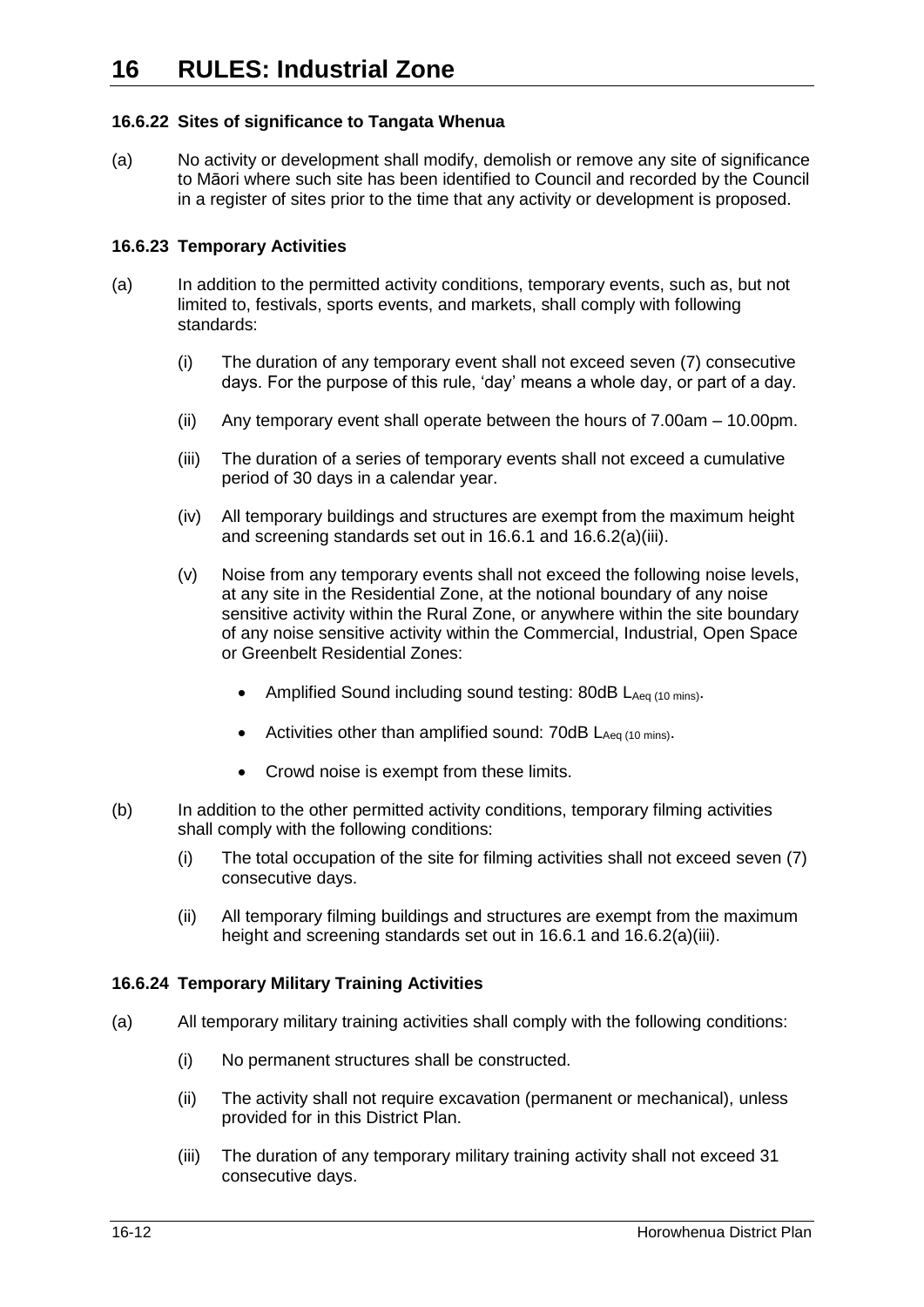### **16.6.22 Sites of significance to Tangata Whenua**

(a) No activity or development shall modify, demolish or remove any site of significance to Māori where such site has been identified to Council and recorded by the Council in a register of sites prior to the time that any activity or development is proposed.

### **16.6.23 Temporary Activities**

- (a) In addition to the permitted activity conditions, temporary events, such as, but not limited to, festivals, sports events, and markets, shall comply with following standards:
	- (i) The duration of any temporary event shall not exceed seven (7) consecutive days. For the purpose of this rule, 'day' means a whole day, or part of a day.
	- (ii) Any temporary event shall operate between the hours of 7.00am 10.00pm.
	- (iii) The duration of a series of temporary events shall not exceed a cumulative period of 30 days in a calendar year.
	- (iv) All temporary buildings and structures are exempt from the maximum height and screening standards set out in [16.6.1](#page-5-1) and [16.6.2\(a\)\(iii\).](#page-5-2)
	- (v) Noise from any temporary events shall not exceed the following noise levels, at any site in the Residential Zone, at the notional boundary of any noise sensitive activity within the Rural Zone, or anywhere within the site boundary of any noise sensitive activity within the Commercial, Industrial, Open Space or Greenbelt Residential Zones:
		- Amplified Sound including sound testing: 80dB LAeq (10 mins).
		- Activities other than amplified sound:  $70dB$   $L_{Aea (10 mins)}$ .
		- Crowd noise is exempt from these limits.
- <span id="page-11-0"></span>(b) In addition to the other permitted activity conditions, temporary filming activities shall comply with the following conditions:
	- (i) The total occupation of the site for filming activities shall not exceed seven (7) consecutive days.
	- (ii) All temporary filming buildings and structures are exempt from the maximum height and screening standards set out in [16.6.1](#page-5-1) and [16.6.2\(a\)\(iii\).](#page-5-2)

### <span id="page-11-1"></span>**16.6.24 Temporary Military Training Activities**

- (a) All temporary military training activities shall comply with the following conditions:
	- (i) No permanent structures shall be constructed.
	- (ii) The activity shall not require excavation (permanent or mechanical), unless provided for in this District Plan.
	- (iii) The duration of any temporary military training activity shall not exceed 31 consecutive days.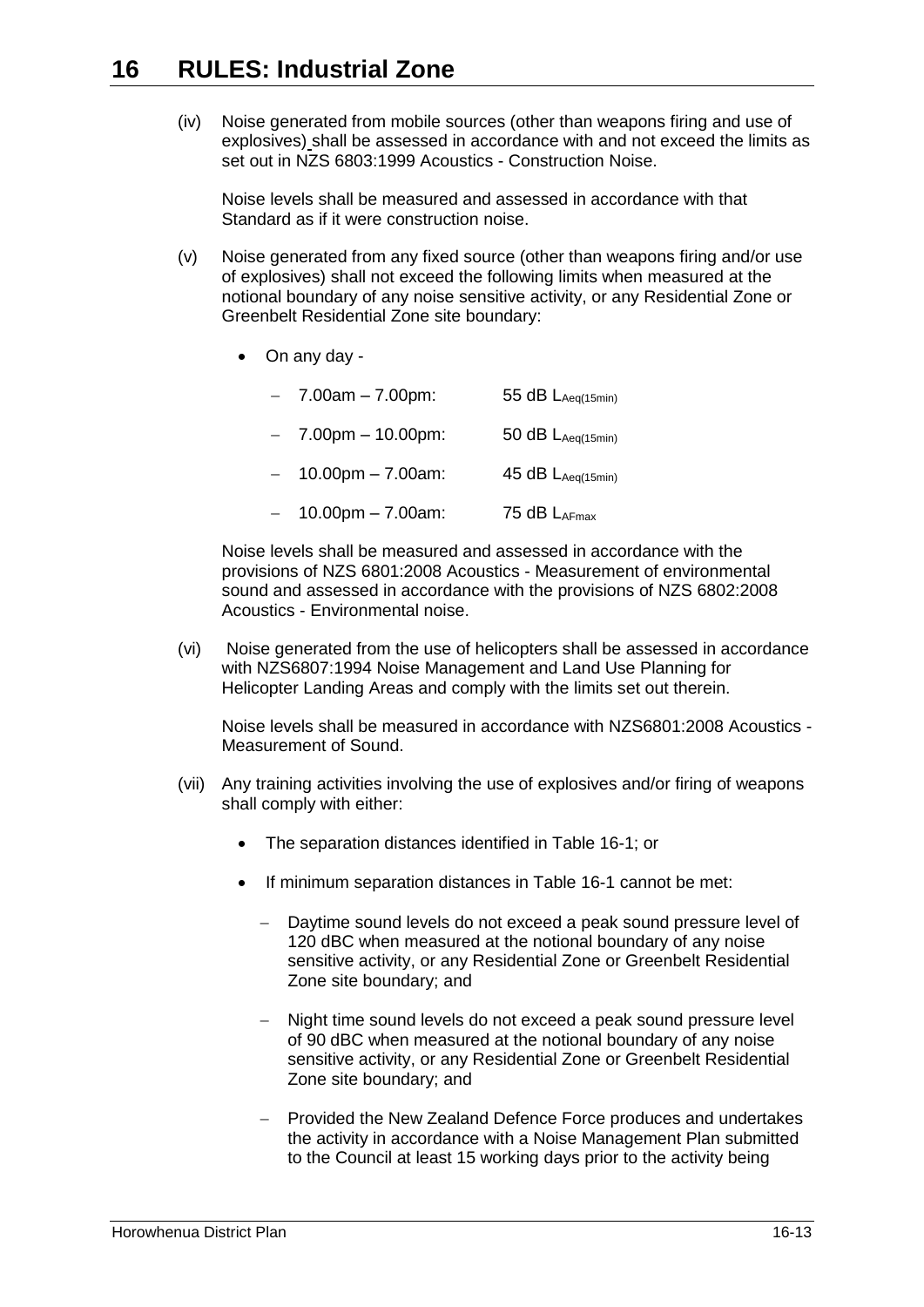(iv) Noise generated from mobile sources (other than weapons firing and use of explosives) shall be assessed in accordance with and not exceed the limits as set out in NZS 6803:1999 Acoustics - Construction Noise.

Noise levels shall be measured and assessed in accordance with that Standard as if it were construction noise.

- (v) Noise generated from any fixed source (other than weapons firing and/or use of explosives) shall not exceed the following limits when measured at the notional boundary of any noise sensitive activity, or any Residential Zone or Greenbelt Residential Zone site boundary:
	- On any day -
		- $-7.00$ am  $-7.00$ pm: 55 dB L<sub>Aeq(15min)</sub>
		- $-7.00$ pm  $-10.00$ pm: 50 dB L<sub>Aeq(15min)</sub>
		- $-$  10.00pm 7.00am: 45 dB LAeq(15min)
		- $-$  10.00pm 7.00am: 75 dB LAFmax

Noise levels shall be measured and assessed in accordance with the provisions of NZS 6801:2008 Acoustics - Measurement of environmental sound and assessed in accordance with the provisions of NZS 6802:2008 Acoustics - Environmental noise.

(vi) Noise generated from the use of helicopters shall be assessed in accordance with NZS6807:1994 Noise Management and Land Use Planning for Helicopter Landing Areas and comply with the limits set out therein.

Noise levels shall be measured in accordance with NZS6801:2008 Acoustics - Measurement of Sound.

- (vii) Any training activities involving the use of explosives and/or firing of weapons shall comply with either:
	- The separation distances identified in Table 16-1; or
	- If minimum separation distances in Table 16-1 cannot be met:
		- Daytime sound levels do not exceed a peak sound pressure level of 120 dBC when measured at the notional boundary of any noise sensitive activity, or any Residential Zone or Greenbelt Residential Zone site boundary; and
		- Night time sound levels do not exceed a peak sound pressure level of 90 dBC when measured at the notional boundary of any noise sensitive activity, or any Residential Zone or Greenbelt Residential Zone site boundary; and
		- Provided the New Zealand Defence Force produces and undertakes the activity in accordance with a Noise Management Plan submitted to the Council at least 15 working days prior to the activity being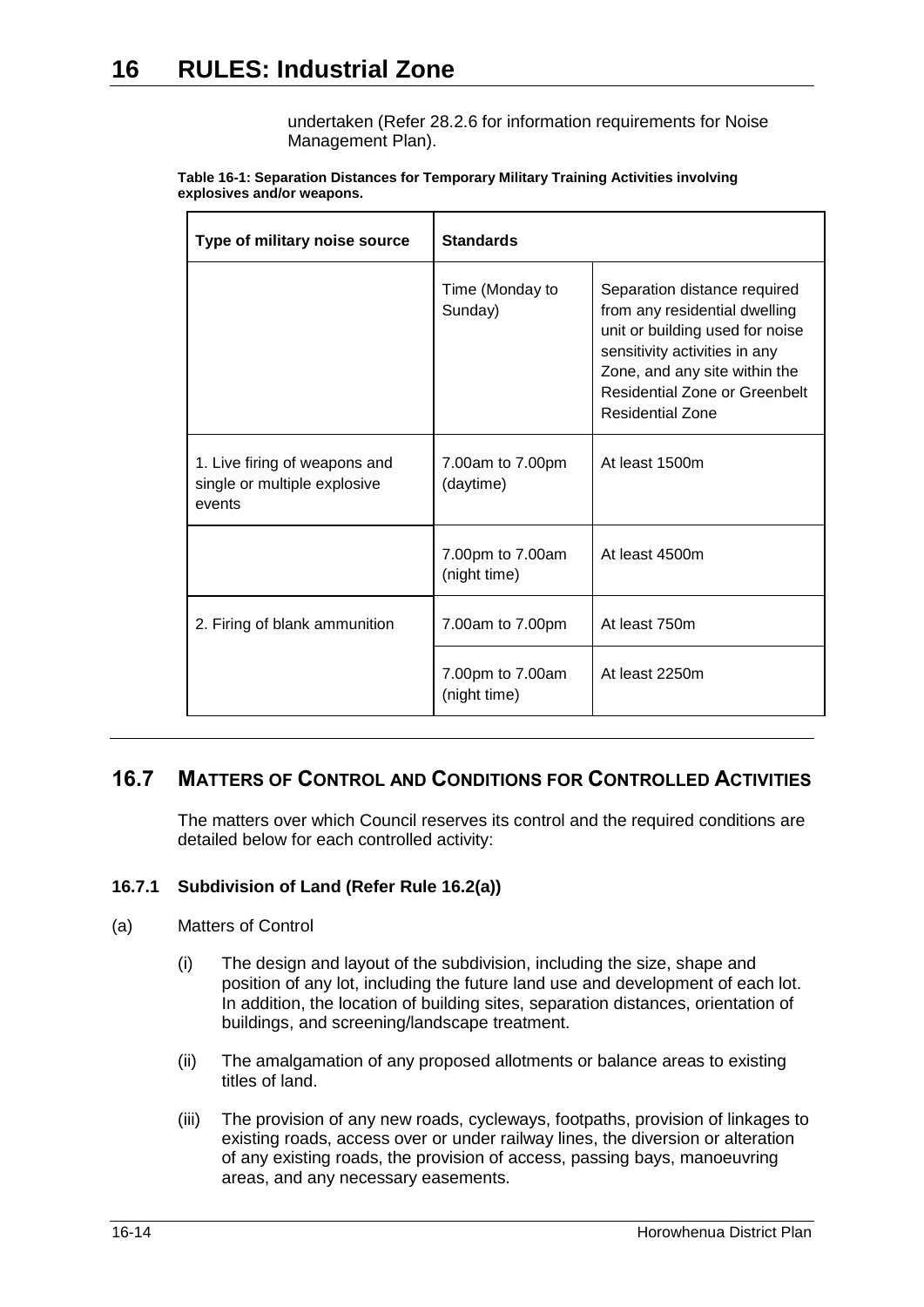undertaken (Refer 28.2.6 for information requirements for Noise Management Plan).

| Type of military noise source                                           | <b>Standards</b>                 |                                                                                                                                                                                                                                |
|-------------------------------------------------------------------------|----------------------------------|--------------------------------------------------------------------------------------------------------------------------------------------------------------------------------------------------------------------------------|
|                                                                         | Time (Monday to<br>Sunday)       | Separation distance required<br>from any residential dwelling<br>unit or building used for noise<br>sensitivity activities in any<br>Zone, and any site within the<br>Residential Zone or Greenbelt<br><b>Residential Zone</b> |
| 1. Live firing of weapons and<br>single or multiple explosive<br>events | 7.00am to 7.00pm<br>(daytime)    | At least 1500m                                                                                                                                                                                                                 |
|                                                                         | 7.00pm to 7.00am<br>(night time) | At least 4500m                                                                                                                                                                                                                 |
| 2. Firing of blank ammunition                                           | 7.00am to 7.00pm                 | At least 750m                                                                                                                                                                                                                  |
|                                                                         | 7.00pm to 7.00am<br>(night time) | At least 2250m                                                                                                                                                                                                                 |

#### **Table 16-1: Separation Distances for Temporary Military Training Activities involving explosives and/or weapons.**

# <span id="page-13-0"></span>**16.7 MATTERS OF CONTROL AND CONDITIONS FOR CONTROLLED ACTIVITIES**

The matters over which Council reserves its control and the required conditions are detailed below for each controlled activity:

### <span id="page-13-1"></span>**16.7.1 Subdivision of Land (Refer Rule [16.2\(a\)\)](#page-2-0)**

### (a) Matters of Control

- (i) The design and layout of the subdivision, including the size, shape and position of any lot, including the future land use and development of each lot. In addition, the location of building sites, separation distances, orientation of buildings, and screening/landscape treatment.
- (ii) The amalgamation of any proposed allotments or balance areas to existing titles of land.
- (iii) The provision of any new roads, cycleways, footpaths, provision of linkages to existing roads, access over or under railway lines, the diversion or alteration of any existing roads, the provision of access, passing bays, manoeuvring areas, and any necessary easements.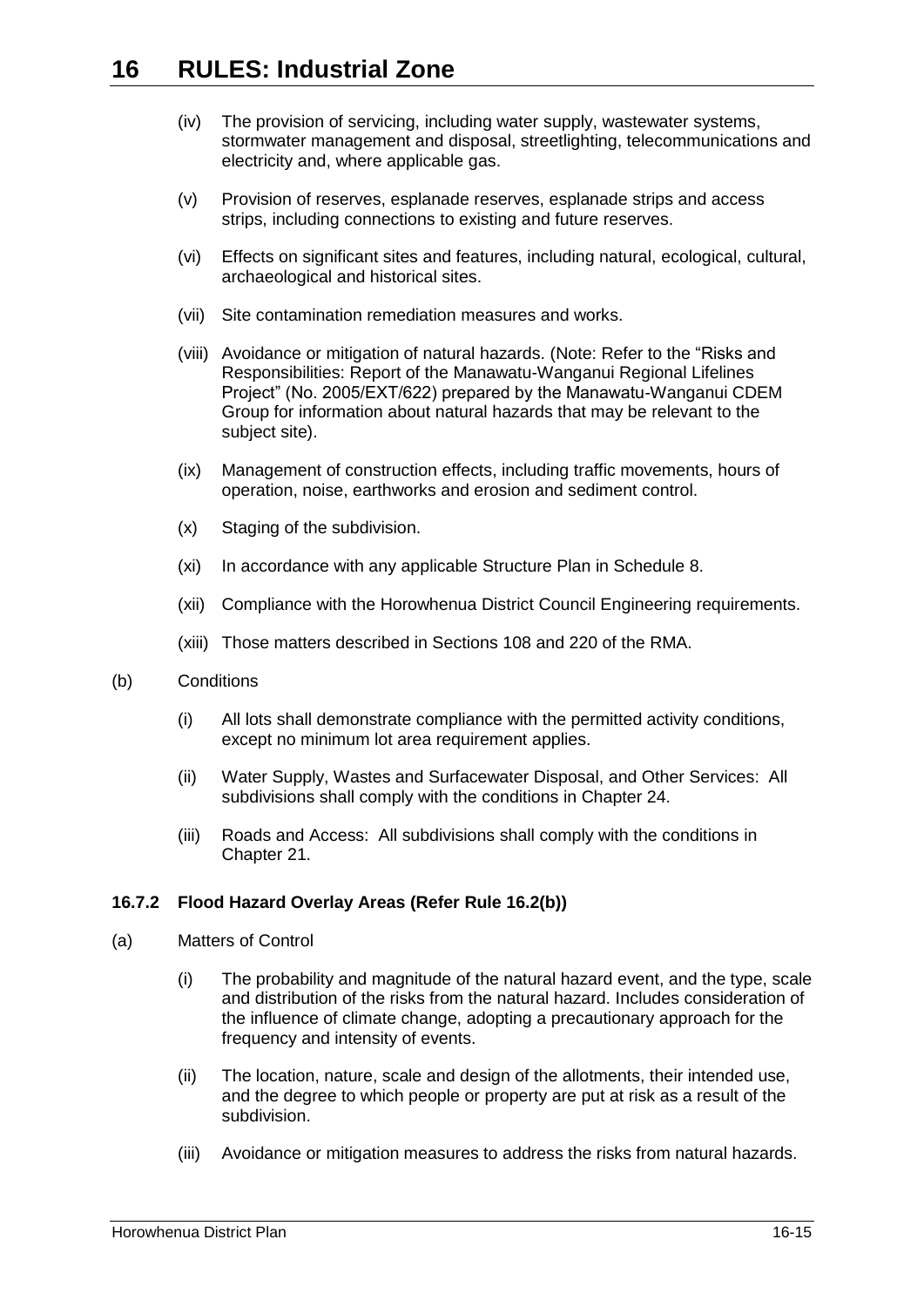- (iv) The provision of servicing, including water supply, wastewater systems, stormwater management and disposal, streetlighting, telecommunications and electricity and, where applicable gas.
- (v) Provision of reserves, esplanade reserves, esplanade strips and access strips, including connections to existing and future reserves.
- (vi) Effects on significant sites and features, including natural, ecological, cultural, archaeological and historical sites.
- (vii) Site contamination remediation measures and works.
- (viii) Avoidance or mitigation of natural hazards. (Note: Refer to the "Risks and Responsibilities: Report of the Manawatu-Wanganui Regional Lifelines Project" (No. 2005/EXT/622) prepared by the Manawatu-Wanganui CDEM Group for information about natural hazards that may be relevant to the subject site).
- (ix) Management of construction effects, including traffic movements, hours of operation, noise, earthworks and erosion and sediment control.
- (x) Staging of the subdivision.
- (xi) In accordance with any applicable Structure Plan in Schedule 8.
- (xii) Compliance with the Horowhenua District Council Engineering requirements.
- (xiii) Those matters described in Sections 108 and 220 of the RMA.
- (b) Conditions
	- (i) All lots shall demonstrate compliance with the permitted activity conditions, except no minimum lot area requirement applies.
	- (ii) Water Supply, Wastes and Surfacewater Disposal, and Other Services: All subdivisions shall comply with the conditions in Chapter 24.
	- (iii) Roads and Access: All subdivisions shall comply with the conditions in Chapter 21.

### <span id="page-14-0"></span>**16.7.2 Flood Hazard Overlay Areas (Refer Rule [16.2\(b\)\)](#page-2-1)**

- (a) Matters of Control
	- (i) The probability and magnitude of the natural hazard event, and the type, scale and distribution of the risks from the natural hazard. Includes consideration of the influence of climate change, adopting a precautionary approach for the frequency and intensity of events.
	- (ii) The location, nature, scale and design of the allotments, their intended use, and the degree to which people or property are put at risk as a result of the subdivision.
	- (iii) Avoidance or mitigation measures to address the risks from natural hazards.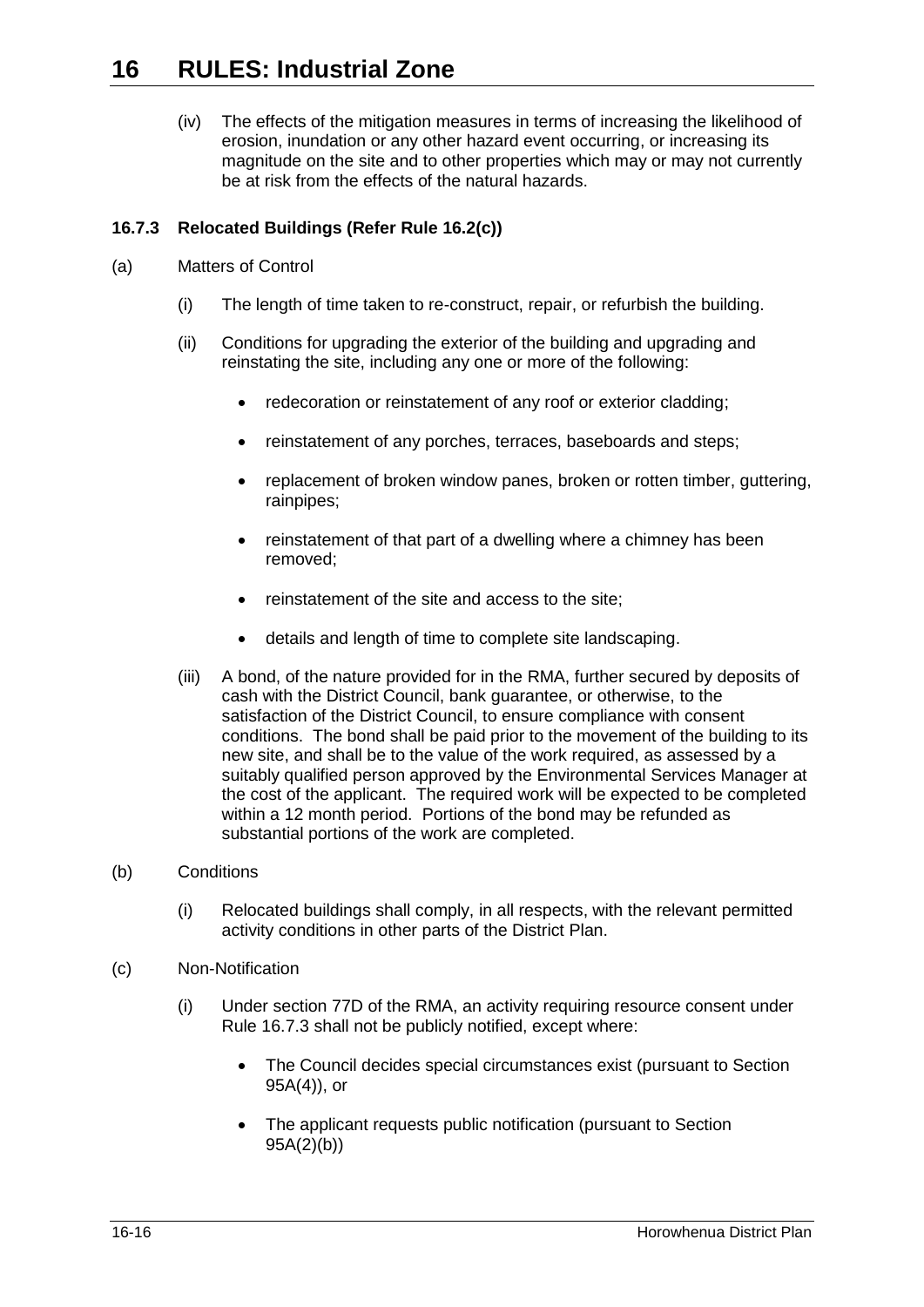(iv) The effects of the mitigation measures in terms of increasing the likelihood of erosion, inundation or any other hazard event occurring, or increasing its magnitude on the site and to other properties which may or may not currently be at risk from the effects of the natural hazards.

## <span id="page-15-0"></span>**16.7.3 Relocated Buildings (Refer Rule [16.2\(c\)\)](#page-2-2)**

- (a) Matters of Control
	- (i) The length of time taken to re-construct, repair, or refurbish the building.
	- (ii) Conditions for upgrading the exterior of the building and upgrading and reinstating the site, including any one or more of the following:
		- redecoration or reinstatement of any roof or exterior cladding;
		- reinstatement of any porches, terraces, baseboards and steps;
		- replacement of broken window panes, broken or rotten timber, guttering, rainpipes;
		- reinstatement of that part of a dwelling where a chimney has been removed;
		- reinstatement of the site and access to the site;
		- details and length of time to complete site landscaping.
	- (iii) A bond, of the nature provided for in the RMA, further secured by deposits of cash with the District Council, bank guarantee, or otherwise, to the satisfaction of the District Council, to ensure compliance with consent conditions. The bond shall be paid prior to the movement of the building to its new site, and shall be to the value of the work required, as assessed by a suitably qualified person approved by the Environmental Services Manager at the cost of the applicant. The required work will be expected to be completed within a 12 month period. Portions of the bond may be refunded as substantial portions of the work are completed.
- (b) Conditions
	- (i) Relocated buildings shall comply, in all respects, with the relevant permitted activity conditions in other parts of the District Plan.
- (c) Non-Notification
	- (i) Under section 77D of the RMA, an activity requiring resource consent under Rule [16.7.3](#page-15-0) shall not be publicly notified, except where:
		- The Council decides special circumstances exist (pursuant to Section 95A(4)), or
		- The applicant requests public notification (pursuant to Section 95A(2)(b))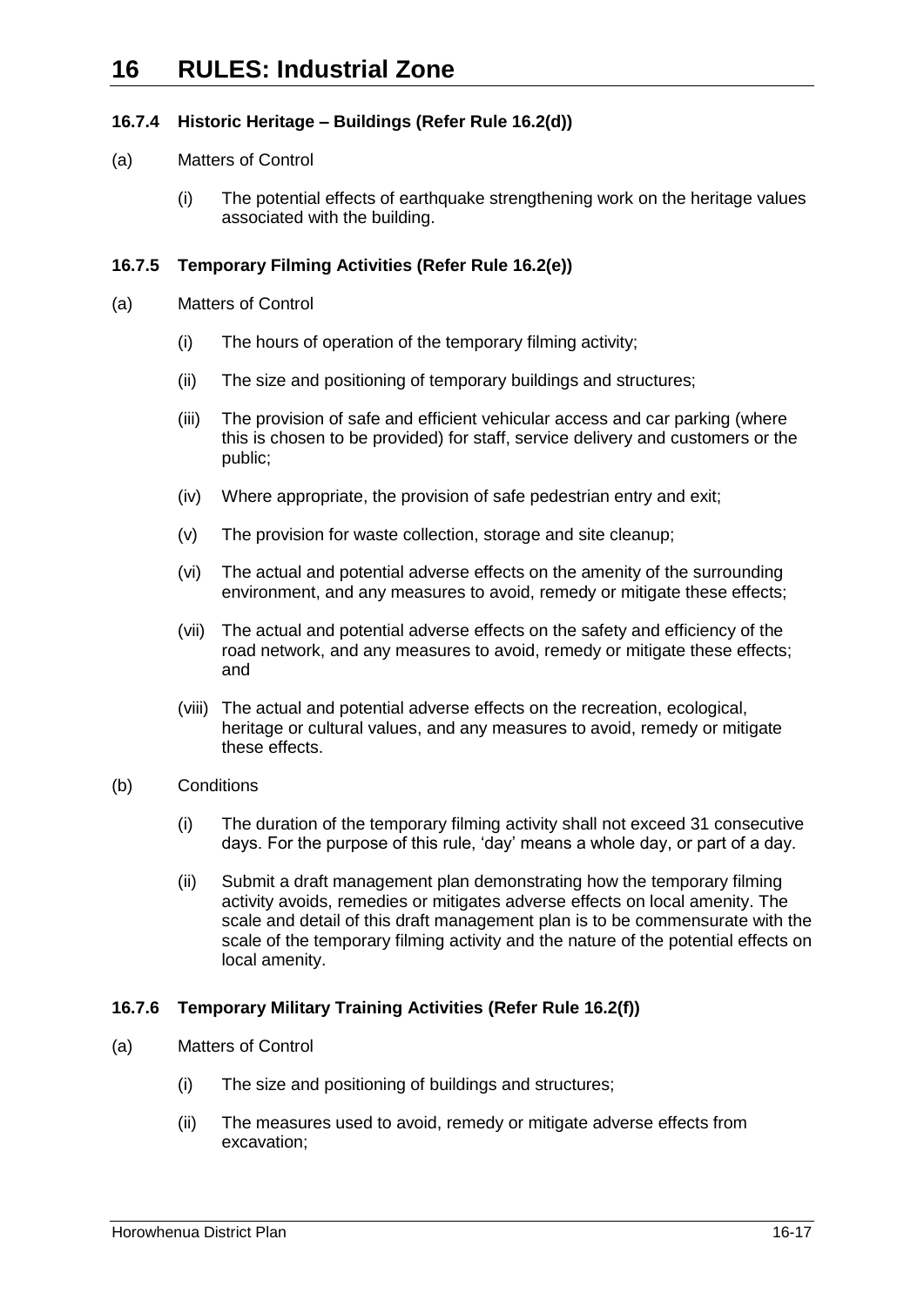### <span id="page-16-0"></span>**16.7.4 Historic Heritage – Buildings (Refer Rule [16.2\(d\)\)](#page-2-3)**

### (a) Matters of Control

(i) The potential effects of earthquake strengthening work on the heritage values associated with the building.

### <span id="page-16-1"></span>**16.7.5 Temporary Filming Activities (Refer Rule [16.2\(e\)\)](#page-3-1)**

- (a) Matters of Control
	- (i) The hours of operation of the temporary filming activity;
	- (ii) The size and positioning of temporary buildings and structures;
	- (iii) The provision of safe and efficient vehicular access and car parking (where this is chosen to be provided) for staff, service delivery and customers or the public;
	- (iv) Where appropriate, the provision of safe pedestrian entry and exit;
	- (v) The provision for waste collection, storage and site cleanup;
	- (vi) The actual and potential adverse effects on the amenity of the surrounding environment, and any measures to avoid, remedy or mitigate these effects;
	- (vii) The actual and potential adverse effects on the safety and efficiency of the road network, and any measures to avoid, remedy or mitigate these effects; and
	- (viii) The actual and potential adverse effects on the recreation, ecological, heritage or cultural values, and any measures to avoid, remedy or mitigate these effects.
- (b) Conditions
	- (i) The duration of the temporary filming activity shall not exceed 31 consecutive days. For the purpose of this rule, 'day' means a whole day, or part of a day.
	- (ii) Submit a draft management plan demonstrating how the temporary filming activity avoids, remedies or mitigates adverse effects on local amenity. The scale and detail of this draft management plan is to be commensurate with the scale of the temporary filming activity and the nature of the potential effects on local amenity.

### <span id="page-16-2"></span>**16.7.6 Temporary Military Training Activities (Refer Rule [16.2\(f\)\)](#page-3-2)**

- (a) Matters of Control
	- (i) The size and positioning of buildings and structures;
	- (ii) The measures used to avoid, remedy or mitigate adverse effects from excavation;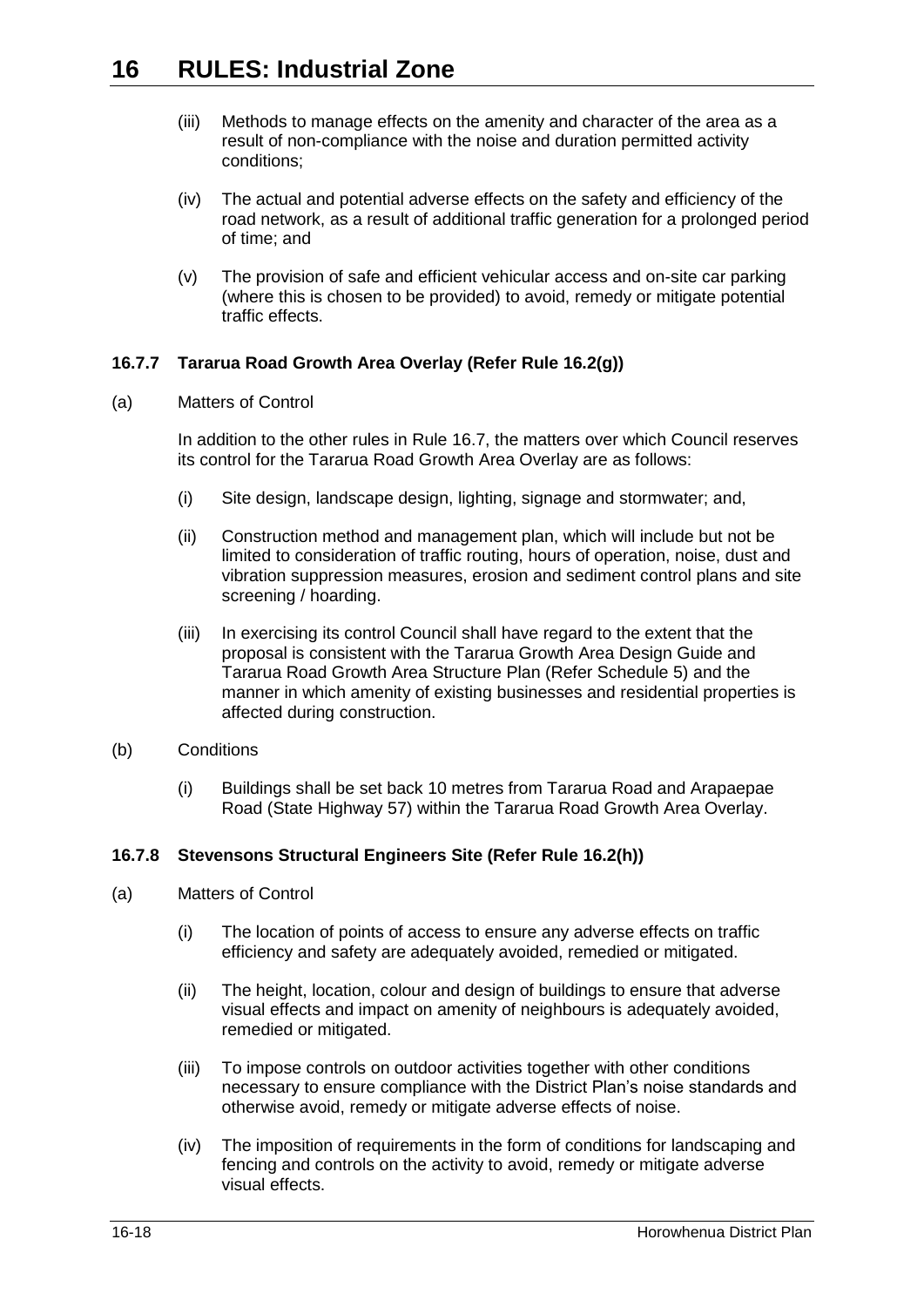- (iii) Methods to manage effects on the amenity and character of the area as a result of non-compliance with the noise and duration permitted activity conditions;
- (iv) The actual and potential adverse effects on the safety and efficiency of the road network, as a result of additional traffic generation for a prolonged period of time; and
- (v) The provision of safe and efficient vehicular access and on-site car parking (where this is chosen to be provided) to avoid, remedy or mitigate potential traffic effects.

## <span id="page-17-0"></span>**16.7.7 Tararua Road Growth Area Overlay (Refer Rule [16.2\(g\)\)](#page-3-3)**

(a) Matters of Control

In addition to the other rules in Rule [16.7,](#page-13-0) the matters over which Council reserves its control for the Tararua Road Growth Area Overlay are as follows:

- (i) Site design, landscape design, lighting, signage and stormwater; and,
- (ii) Construction method and management plan, which will include but not be limited to consideration of traffic routing, hours of operation, noise, dust and vibration suppression measures, erosion and sediment control plans and site screening / hoarding.
- (iii) In exercising its control Council shall have regard to the extent that the proposal is consistent with the Tararua Growth Area Design Guide and Tararua Road Growth Area Structure Plan (Refer Schedule 5) and the manner in which amenity of existing businesses and residential properties is affected during construction.
- (b) Conditions
	- (i) Buildings shall be set back 10 metres from Tararua Road and Arapaepae Road (State Highway 57) within the Tararua Road Growth Area Overlay.

### <span id="page-17-1"></span>**16.7.8 Stevensons Structural Engineers Site (Refer Rule [16.2\(h\)\)](#page-3-4)**

- (a) Matters of Control
	- (i) The location of points of access to ensure any adverse effects on traffic efficiency and safety are adequately avoided, remedied or mitigated.
	- (ii) The height, location, colour and design of buildings to ensure that adverse visual effects and impact on amenity of neighbours is adequately avoided, remedied or mitigated.
	- (iii) To impose controls on outdoor activities together with other conditions necessary to ensure compliance with the District Plan's noise standards and otherwise avoid, remedy or mitigate adverse effects of noise.
	- (iv) The imposition of requirements in the form of conditions for landscaping and fencing and controls on the activity to avoid, remedy or mitigate adverse visual effects.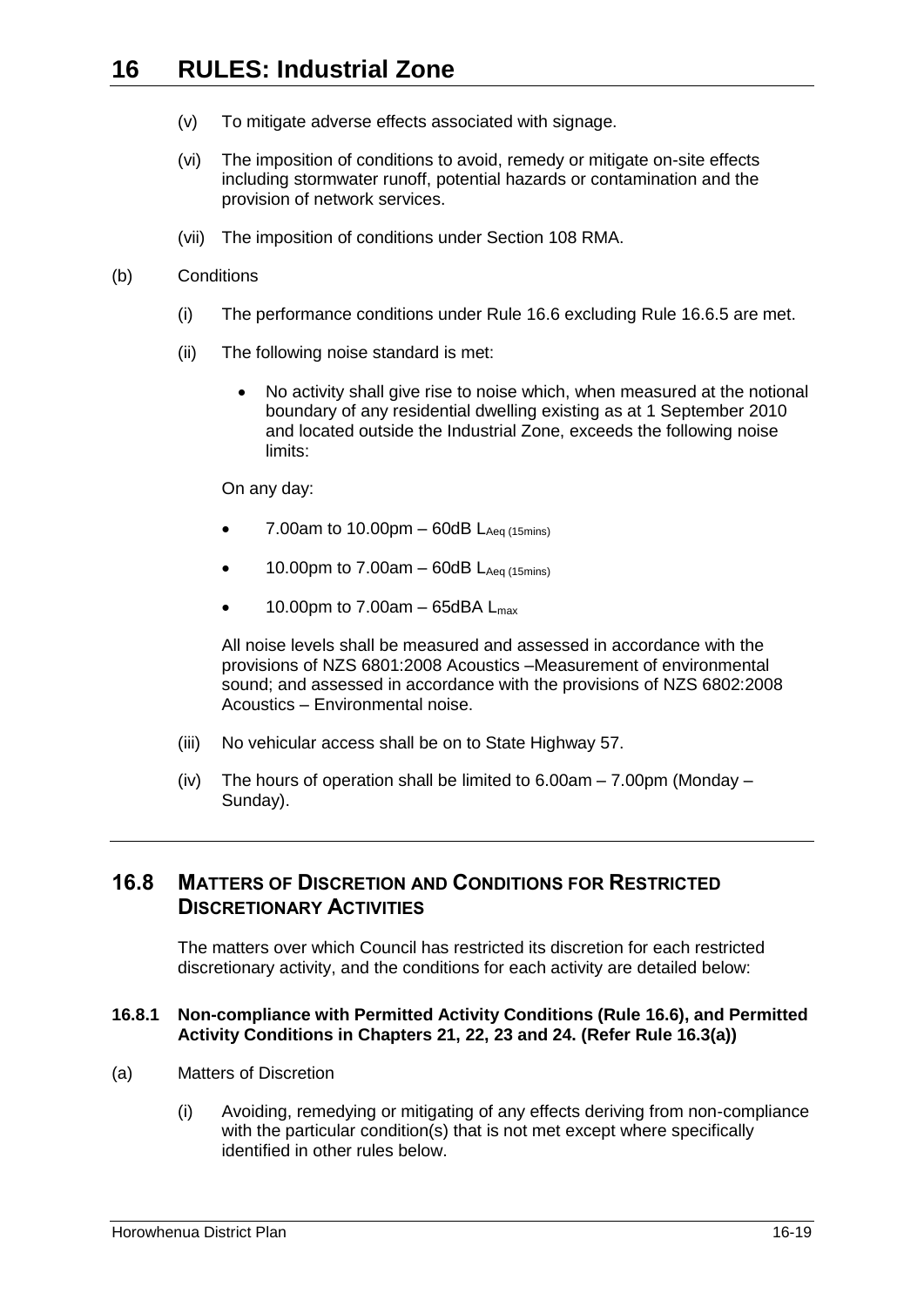- (v) To mitigate adverse effects associated with signage.
- (vi) The imposition of conditions to avoid, remedy or mitigate on-site effects including stormwater runoff, potential hazards or contamination and the provision of network services.
- (vii) The imposition of conditions under Section 108 RMA.

### (b) Conditions

- (i) The performance conditions under Rule [16.6](#page-5-0) excluding Rule [16.6.5](#page-6-1) are met.
- (ii) The following noise standard is met:
	- No activity shall give rise to noise which, when measured at the notional boundary of any residential dwelling existing as at 1 September 2010 and located outside the Industrial Zone, exceeds the following noise limits:

On any day:

- 7.00am to 10.00pm  $-$  60dB  $L_{Aeq (15minS)}$
- 10.00pm to 7.00am  $-$  60dB  $L_{Aea(15mins)}$
- $\bullet$  10.00pm to 7.00am 65dBA L<sub>max</sub>

All noise levels shall be measured and assessed in accordance with the provisions of NZS 6801:2008 Acoustics –Measurement of environmental sound; and assessed in accordance with the provisions of NZS 6802:2008 Acoustics – Environmental noise.

- (iii) No vehicular access shall be on to State Highway 57.
- (iv) The hours of operation shall be limited to  $6.00am 7.00pm$  (Monday Sunday).

## <span id="page-18-0"></span>**16.8 MATTERS OF DISCRETION AND CONDITIONS FOR RESTRICTED DISCRETIONARY ACTIVITIES**

The matters over which Council has restricted its discretion for each restricted discretionary activity, and the conditions for each activity are detailed below:

### <span id="page-18-1"></span>**16.8.1 Non-compliance with Permitted Activity Conditions (Rule [16.6\)](#page-5-0), and Permitted Activity Conditions in Chapters 21, 22, 23 and 24. (Refer Rule [16.3\(a\)\)](#page-3-5)**

- (a) Matters of Discretion
	- (i) Avoiding, remedying or mitigating of any effects deriving from non-compliance with the particular condition(s) that is not met except where specifically identified in other rules below.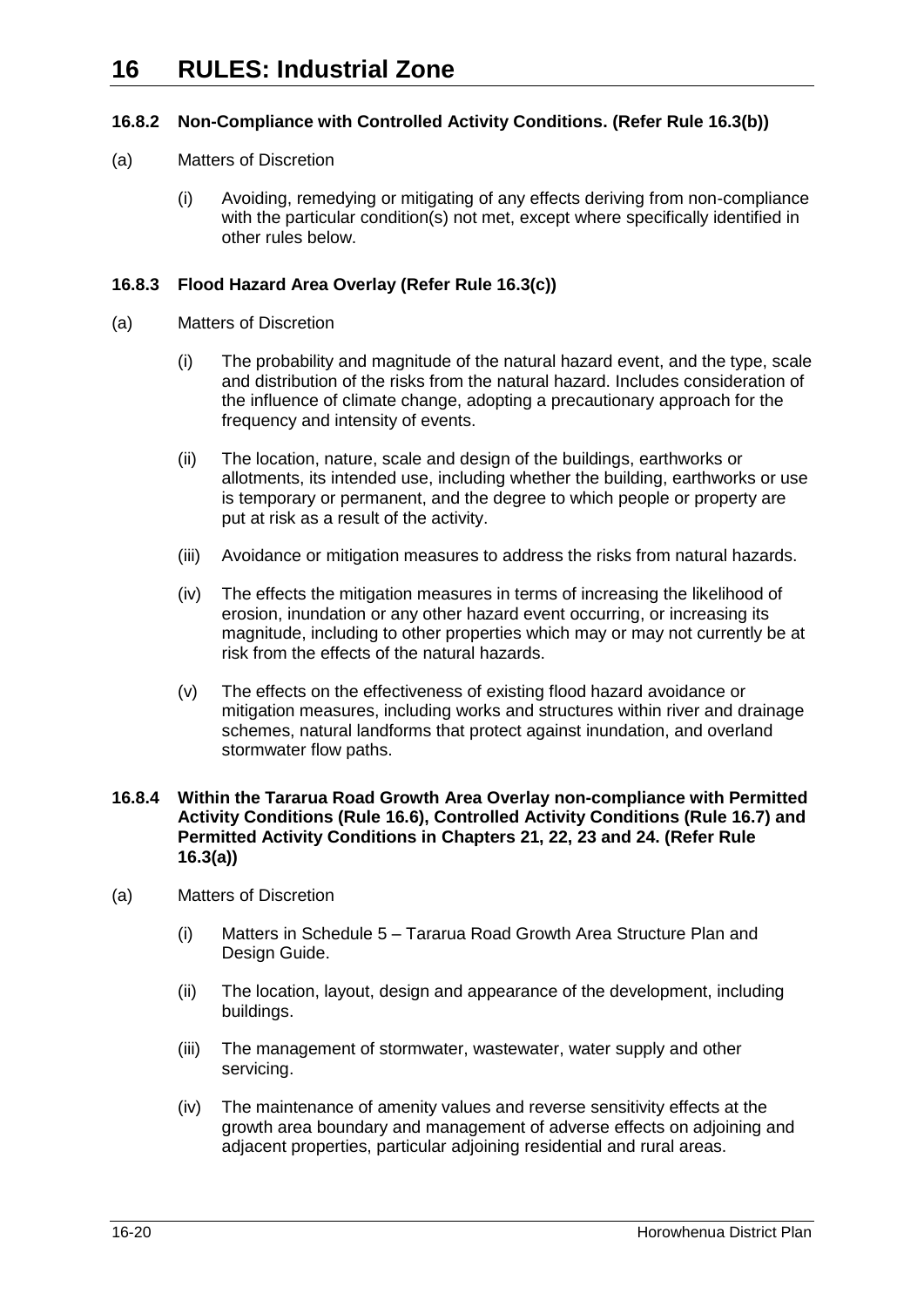## <span id="page-19-0"></span>**16.8.2 Non-Compliance with Controlled Activity Conditions. (Refer Rule [16.3\(b\)\)](#page-3-6)**

- (a) Matters of Discretion
	- (i) Avoiding, remedying or mitigating of any effects deriving from non-compliance with the particular condition(s) not met, except where specifically identified in other rules below.

### <span id="page-19-1"></span>**16.8.3 Flood Hazard Area Overlay (Refer Rule [16.3\(c\)\)](#page-3-7)**

- (a) Matters of Discretion
	- (i) The probability and magnitude of the natural hazard event, and the type, scale and distribution of the risks from the natural hazard. Includes consideration of the influence of climate change, adopting a precautionary approach for the frequency and intensity of events.
	- (ii) The location, nature, scale and design of the buildings, earthworks or allotments, its intended use, including whether the building, earthworks or use is temporary or permanent, and the degree to which people or property are put at risk as a result of the activity.
	- (iii) Avoidance or mitigation measures to address the risks from natural hazards.
	- (iv) The effects the mitigation measures in terms of increasing the likelihood of erosion, inundation or any other hazard event occurring, or increasing its magnitude, including to other properties which may or may not currently be at risk from the effects of the natural hazards.
	- (v) The effects on the effectiveness of existing flood hazard avoidance or mitigation measures, including works and structures within river and drainage schemes, natural landforms that protect against inundation, and overland stormwater flow paths.

### **16.8.4 Within the Tararua Road Growth Area Overlay non-compliance with Permitted Activity Conditions (Rule [16.6\)](#page-5-0), Controlled Activity Conditions (Rule [16.7\)](#page-13-0) and Permitted Activity Conditions in Chapters 21, 22, 23 and 24. (Refer Rule [16.3\(a\)\)](#page-3-5)**

- (a) Matters of Discretion
	- (i) Matters in Schedule 5 Tararua Road Growth Area Structure Plan and Design Guide.
	- (ii) The location, layout, design and appearance of the development, including buildings.
	- (iii) The management of stormwater, wastewater, water supply and other servicing.
	- (iv) The maintenance of amenity values and reverse sensitivity effects at the growth area boundary and management of adverse effects on adjoining and adjacent properties, particular adjoining residential and rural areas.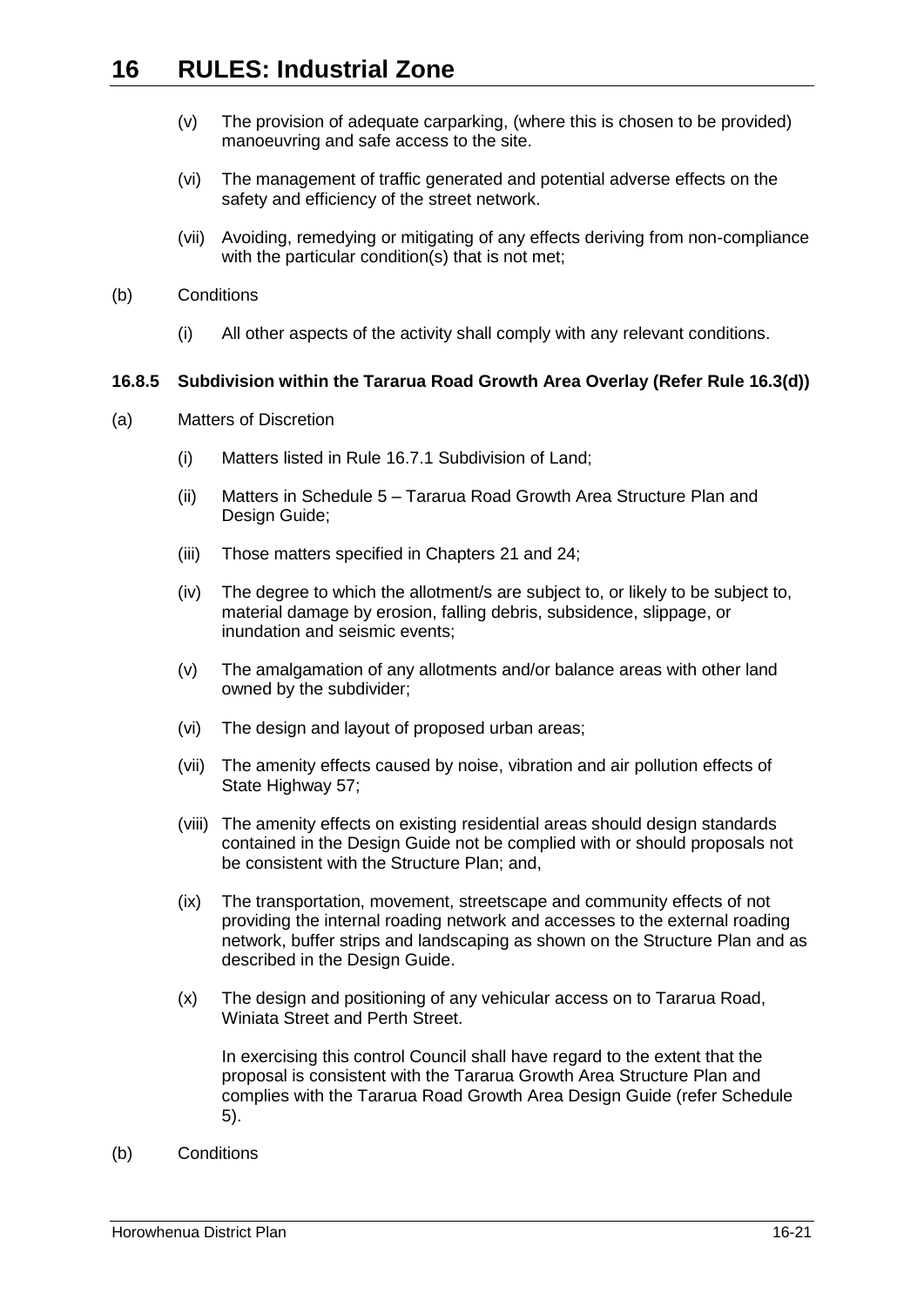- (v) The provision of adequate carparking, (where this is chosen to be provided) manoeuvring and safe access to the site.
- (vi) The management of traffic generated and potential adverse effects on the safety and efficiency of the street network.
- (vii) Avoiding, remedying or mitigating of any effects deriving from non-compliance with the particular condition(s) that is not met;
- (b) Conditions
	- (i) All other aspects of the activity shall comply with any relevant conditions.

### <span id="page-20-0"></span>**16.8.5 Subdivision within the Tararua Road Growth Area Overlay (Refer Rule [16.3\(d\)\)](#page-3-8)**

- (a) Matters of Discretion
	- (i) Matters listed in Rule [16.7.1](#page-13-1) Subdivision of Land;
	- (ii) Matters in Schedule 5 Tararua Road Growth Area Structure Plan and Design Guide;
	- (iii) Those matters specified in Chapters 21 and 24;
	- (iv) The degree to which the allotment/s are subject to, or likely to be subject to, material damage by erosion, falling debris, subsidence, slippage, or inundation and seismic events;
	- (v) The amalgamation of any allotments and/or balance areas with other land owned by the subdivider;
	- (vi) The design and layout of proposed urban areas;
	- (vii) The amenity effects caused by noise, vibration and air pollution effects of State Highway 57;
	- (viii) The amenity effects on existing residential areas should design standards contained in the Design Guide not be complied with or should proposals not be consistent with the Structure Plan; and,
	- (ix) The transportation, movement, streetscape and community effects of not providing the internal roading network and accesses to the external roading network, buffer strips and landscaping as shown on the Structure Plan and as described in the Design Guide.
	- (x) The design and positioning of any vehicular access on to Tararua Road, Winiata Street and Perth Street.

In exercising this control Council shall have regard to the extent that the proposal is consistent with the Tararua Growth Area Structure Plan and complies with the Tararua Road Growth Area Design Guide (refer Schedule 5).

(b) Conditions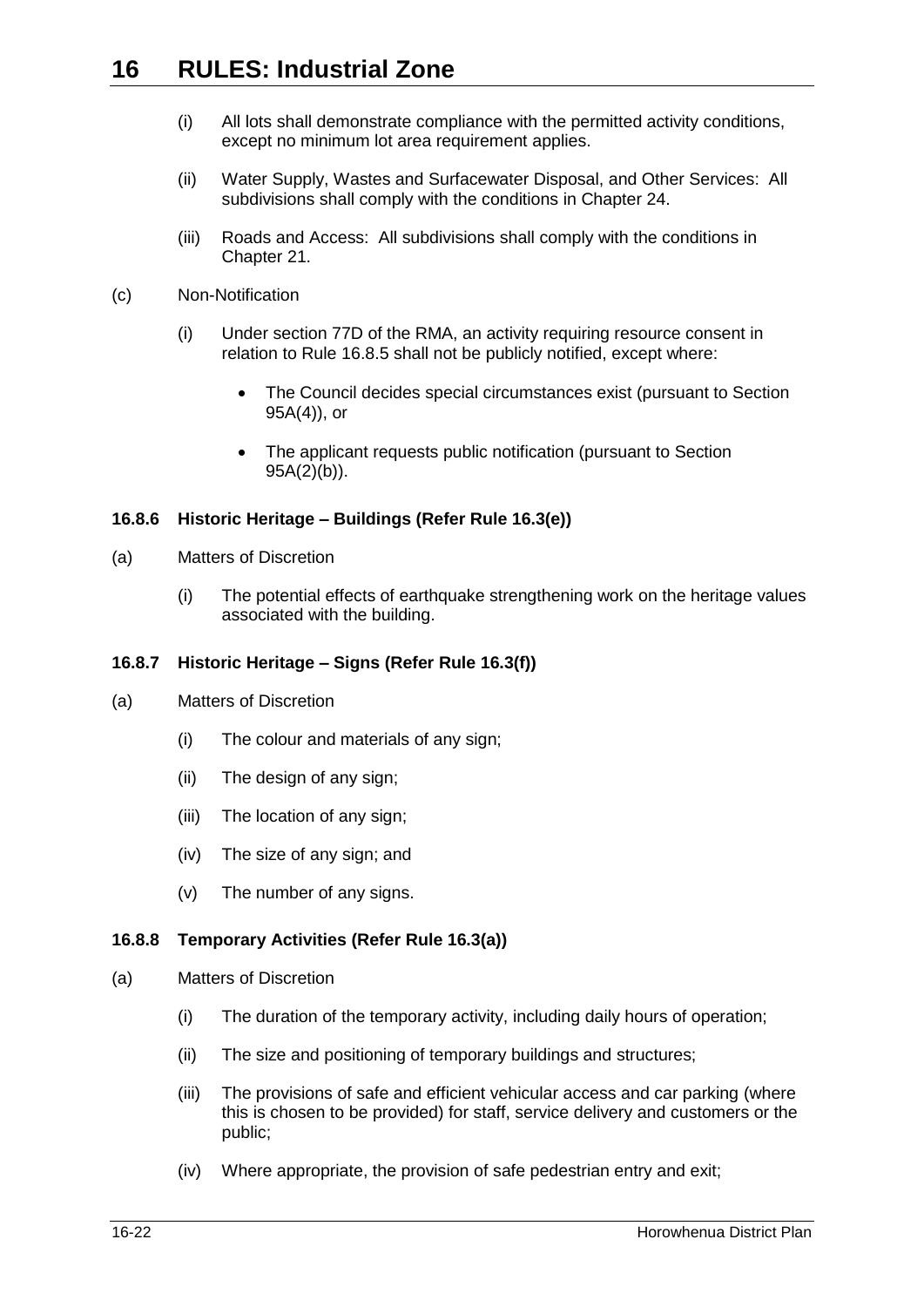- (i) All lots shall demonstrate compliance with the permitted activity conditions, except no minimum lot area requirement applies.
- (ii) Water Supply, Wastes and Surfacewater Disposal, and Other Services: All subdivisions shall comply with the conditions in Chapter 24.
- (iii) Roads and Access: All subdivisions shall comply with the conditions in Chapter 21.
- (c) Non-Notification
	- (i) Under section 77D of the RMA, an activity requiring resource consent in relation to Rule [16.8.5](#page-20-0) shall not be publicly notified, except where:
		- The Council decides special circumstances exist (pursuant to Section 95A(4)), or
		- The applicant requests public notification (pursuant to Section  $95A(2)(b)$ ).

### <span id="page-21-0"></span>**16.8.6 Historic Heritage – Buildings (Refer Rule [16.3\(e\)\)](#page-3-9)**

- (a) Matters of Discretion
	- (i) The potential effects of earthquake strengthening work on the heritage values associated with the building.

### <span id="page-21-1"></span>**16.8.7 Historic Heritage – Signs (Refer Rule [16.3\(f\)\)](#page-3-10)**

- (a) Matters of Discretion
	- (i) The colour and materials of any sign;
	- (ii) The design of any sign;
	- (iii) The location of any sign;
	- (iv) The size of any sign; and
	- (v) The number of any signs.

### **16.8.8 Temporary Activities (Refer Rule [16.3\(a\)\)](#page-3-5)**

- (a) Matters of Discretion
	- (i) The duration of the temporary activity, including daily hours of operation;
	- (ii) The size and positioning of temporary buildings and structures;
	- (iii) The provisions of safe and efficient vehicular access and car parking (where this is chosen to be provided) for staff, service delivery and customers or the public;
	- (iv) Where appropriate, the provision of safe pedestrian entry and exit;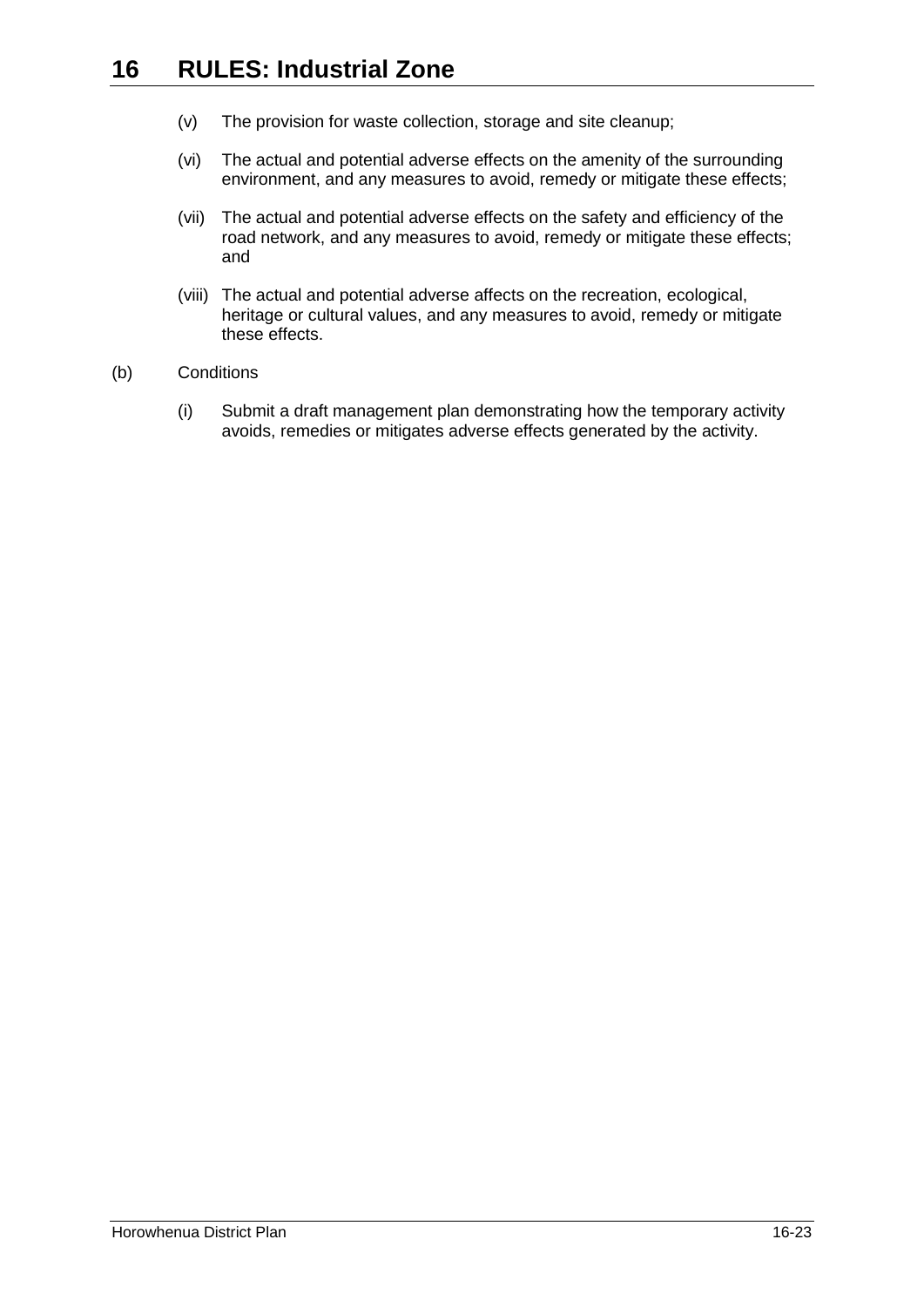- (v) The provision for waste collection, storage and site cleanup;
- (vi) The actual and potential adverse effects on the amenity of the surrounding environment, and any measures to avoid, remedy or mitigate these effects;
- (vii) The actual and potential adverse effects on the safety and efficiency of the road network, and any measures to avoid, remedy or mitigate these effects; and
- (viii) The actual and potential adverse affects on the recreation, ecological, heritage or cultural values, and any measures to avoid, remedy or mitigate these effects.
- (b) Conditions
	- (i) Submit a draft management plan demonstrating how the temporary activity avoids, remedies or mitigates adverse effects generated by the activity.